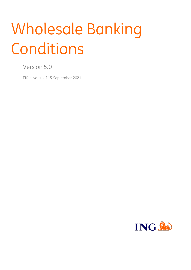# Wholesale Banking Conditions

Version 5.0

Effective as of 15 September 2021

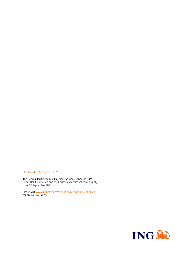Effective date September 2021

The General Part, Schedule Payment Services, Schedule SEPA Direct Debit Collection and the Country Specifics Schedules apply as of 15 September 2021.

Please visit www.ingpcm.com/en/wholesale-banking-conditions for previous versions.

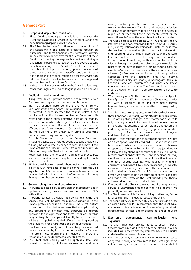# **General Part**

# **1. Scope and applicable conditions**

- 1.1. These Conditions apply to the relationship between the Client and ING and to all Services provided by ING. Additional conditions may apply to specific Services.
- 1.2. The Schedules to these Conditions form an integral part of the Conditions. In the event of a conflict between an Agreement and these Conditions, the Agreement prevails. In the event of a conflict between the General Part of these Conditions (including country specific conditions relating to this General Part) and a Schedule (including country specific conditions relating to such Schedule) then the provisions of the Schedule shall prevail. Country specific conditions will prevail over the non-country specific conditions. In case additional conditions apply regarding a specific Service such additional conditions will, unless indicated otherwise, prevail in case of a conflict with these Conditions.
- 1.3. If these Conditions are provided to the Client in a language other than English,the English language version will prevail**.**

# **2. Availability and amendments**

- 2.1. If requested ING will provide copies of the relevant Service Documents on paper or on another durable medium.
- 2.2. ING may change these Conditions and other Service Documents with a two months' notice period. The Client will be deemed to have accepted the change, unless it has terminated in writing the relevant Services Document with effect prior to the proposed effective date of the change. Such termination is free of charge. If the Client chooses to so terminate, such Services Document shall terminate on the effective date of the amendments. On such date all claims of ING vis-à-vis the Client under such Services Document become immediately due and payable.

For this Clause any change to any Services Document (including a Schedule or related country specific provisions), will only be considered a change to such document if the Client obtains the relevant Service from the relevant ING Office and only such Client will be informed accordingly.

Notwithstanding the foregoing, operational procedures, instructions and manuals may be changed by ING with immediate effect.

2.3. ING has the right to unilaterally change (the functions within) a Service with immediate effect if it cannot reasonably be expected that ING continues to provide such Service in this manner. ING will not be liable to the Client or any third party for any loss and/or damage resulting thereof.

# <span id="page-2-0"></span>**3. General obligations and undertakings**

- 3.1. The Client can use a Service only after the application and, if applicable, opening process has been completed to ING's satisfaction.
- 3.2. The Client represents that it is not a Consumer and that the Services shall only be used for purposes pertaining to the Client's profession, trade or business. The Client further agrees that, to the fullest extent permitted by applicable law, any provisions of law that may otherwise be deemed applicable to the Agreement and these Conditions, but that may be disapplied or applied differently to non-Consumers will be so disapplied or applied differently and replaced by the provisions of this Agreement and these Conditions.
- 3.3. The Client shall comply with all security procedures and provisions supplied by ING in accordance with the Services. The Client must inform ING immediately if there are reasonable grounds to suspect a security breach.
- 3.4. The Client shall comply with all applicable laws and regulations, including all license requirements and anti-

money-laundering, anti-terrorism financing, sanctions and tax laws and regulations. The Client shall not use the Services for activities or purposes that are in violation of any law or regulation, or that can have a detrimental effect on the reputation of ING or on the integrity of the financial system.

- <span id="page-2-1"></span>3.5. The Client agrees to co-operate with ING and provide any information and documents and do all such acts ING requires (i) by law, regulation or according to ING's internal policies for the provision of the Services, (ii) to comply with information and reporting requirements in accordance with applicable laws and regulations or requests or requirements of local and foreign (tax and regulatory) authorities, (iii) to check the Client's identity, its activities and objectives, (iv) to explain the reasons for the (intended) use of a Service, the origin of funds used for a Service or transaction and the economic nature of (the use of) a Service or transaction and (v) to comply with all applicable laws and regulations and ING's internal procedures, including anti-money laundering, anti-terrorism financing, sanctions, customer-due-diligence and knowyour-customer requirements. The Client confirms and shall ensure that all information (to be) provided to ING is accurate and complete.
- 3.6. When dealing with ING the Client and each User is obliged to identify itself. At ING's first request the Client must provide ING with a specimen of its and each User's current handwritten signatures in a form and format as required by ING.
- 3.7. The Client must promptly, and, unless indicated otherwise in these Conditions, ultimately within 30 calendar days, inform ING in writing of any changes in the information supplied to ING, including but not limited to a change in its tax status or if the Client has become a Consumer, and any documents evidencing such change. ING may rely upon the information provided by the Client until it receives a notice of change or update of the information provided.
- 3.8. Each ING Office must as soon as possible be notified in writing or, if such option is available, via an ING Channel, if the Client is no longer in existence or no longer authorised to dispose of or operate a Service, failing which ING may (continue to) perform its obligations and execute or forward Instructions received from or on behalf of the Client. In addition, ING may (continue to) execute, or forward an Instruction it received prior to or shortly after ING was notified in writing of aforementioned events if ING cannot reasonably prevent the execution or forwarding thereof. After the notice of an event as indicated in this sub-Clause, ING may require that the person who claims to be authorised to perform (legal) acts on behalf of (the estate of) the Client submits proof thereof in form and substance acceptable to ING.
- 3.9. If at any time the Client ascertains that all or any part of a Service is unavailable and/or not working properly it will promptly inform ING thereof.
- 3.10.The Client is responsible for determining whether any Service is suitable for the intended purposes of the Client.
- 3.11.The Client acknowledges that ING does not provide any tax or legal advice, and ING recommends that the Client takes advice from a tax or legal expert in case of any doubt with respect to the tax, fiscal and/or legal obligations of the Client.

# <span id="page-2-2"></span>**4. Electronic agreements, communication and signature**

- 4.1. The Client may electronically agree to obtain (further) Services from ING if and to the extent so offered. It will be indicated per Service which requirements have to be fulfilled and when the agreement is effective.
- 4.2. For all Instructions, agreements and communications issued or agreed upon by electronic means, the Client agrees that its Electronic Signature, or that of a User on the Clients behalf,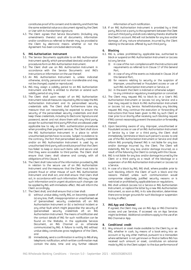constitutes proof of its consent and its identity and that it has the same evidential value as a document signed by the Client or User with its handwritten signature.

4.3. The Client agrees that Service Documents (including any amendments thereto) and all documents, information and/or conditions as referred to therein may be provided to the Client by electronic means whether or not the Agreement has been concluded electronically.

# **5. ING Authorisation Instrument**

- 5.1. The Service Documents applicable to an ING Authorisation Instrument specify which personalised device(s) and/or set of procedures form an ING Authorisation Instrument.
- 5.2. The Client shall use an ING Authorisation Instrument in accordance with the Service Documents and ING's instructions or information on the use thereof.
- 5.3. An ING Authorisation Instrument is, unless indicated otherwise, strictly personal and non-transferable and may not be changed, copied or reproduced.
- 5.4. ING may assign a validity period to an ING Authorisation Instrument and ING is entitled to shorten or extend such validity period at any time.
- 5.5. The Client shall upon receipt of an ING Authorisation Instrument take all measures required by ING to keep the ING Authorisation Instrument and its personalised security credentials safe. The Client shall furthermore take any measure that can reasonably be expected to ensure the security of the personalised security credentials and shall keep these credentials, including its Electronic Signature and password, secret and not share them with any third party, except for authorised third party PSPs that are allowed under applicable law to rely on ING's authentication procedures when providing their payment services. The Client shall store the ING Authorisation Instrument in a place to which unauthorised parties have no access. Subject to evidence to the contrary, the fact that personalised security credentials and/or an ING Authorisation Instrument is used by an unauthorised third party will constitute proof that the Client has failed to keep or store such items safe and secure and that they were accessible to third parties. The Client shall ensure that Users shall observe and comply with all obligations of this Claus[e 5.](#page-3-0)
- 5.6. The Client shall take note of the information provided by ING in relation to the secure use of an ING Authorisation Instrument and the measures that the Client must take to prevent fraud or other misuse of such ING Authorisation Instrument and shall act, and shall ensure that Users shall act, in accordance with such information. ING may change such information and in urgent situations such changes can be applied by ING with immediate effect. ING will inform the Client accordingly.
- <span id="page-3-3"></span><span id="page-3-2"></span>5.7. The Client shall, and shall ensure that a User shall:
	- (i) without undue delay notify ING, on becoming aware of (a) any loss, theft, misappropriation or unauthorised use of (personalised security credentials of) an ING Authorisation Instrument or (b) a technical incident or any other fault which might jeopardise the security of (personalised security credentials of) an ING Authorisation Instrument. The means of notification and the contact details of ING for such notification can be found on the Website, in the applicable Services Document, an ING Channel or as otherwise communicated by ING. A failure to notify ING without undue delay constitutes gross negligence of the Client, and
	- (ii) immediately send a confirmation in writing to ING of any telephonic notification, which written confirmation must contain the date, time and any further relevant

information of such notification.

5.8. If an ING Authorisation Instrument is provided by a third party, ING is not a party to the agreement between the Client and such third party and all costs relating thereto shall be for the Client's account. ING will not be liable for any loss and/or damage, of any nature whatsoever, incurred by the Client relating to the services offered by such third party.

# <span id="page-3-4"></span>**6. Blocking**

- <span id="page-3-0"></span>6.1. ING is, unless prohibited by applicable law, authorised to block or suspend an ING Authorisation Instrument or (access to) any Service:
	- (i) in case of the non-compliance with the instructions and requirements as referred to in Claus[e 17](#page-6-0) of this General Part,
	- (ii) in case of any of the events as indicated in Claus[e 26](#page-8-0) of this General Part,
	- (iii) for reasons relating to security or the suspicion of improper, unauthorised or fraudulent access or use of such ING Authorisation Instrument or Service, or
	- (iv) in the event the Client is indicted or otherwise subject to any criminal or regulatory investigation or convicted.
- 6.2. The Client may request ING to block its or a User's ING Authorisation Instrument or (access to) any Service and a User may request to block its ING Authorisation Instrument or (access to) any Service. Notwithstanding any blocking request ING may continue the execution or forwarding of Instructions that have been given to ING by such Client or User prior to or shortly after receiving such blocking request if ING cannot reasonably prevent the execution or forwarding thereof.
- 6.3. Upon becoming aware of any improper, unauthorised or fraudulent access or use of an ING Authorisation Instrument or Service by a User or a third party, the Client shall immediately terminate or block such person's access to and use of the ING Authorisation Instrument or Service and shall inform ING promptly thereof. ING is not liable for any loss and/or damage incurred by the Client. The Client will indemnify ING for any loss and/or damage incurred, as a result of the failure by the Client to comply with this Clause.
- 6.4. ING is not liable for any loss and/or damage incurred by the Client or a third party as a result of the blockage or a suspension of an ING Authorisation Instrument or (access to) a Service.
- 6.5. In case of a block by ING, ING shall, where possible prior to such blocking, inform the Client of such a block and the reasons thereof, unless such communication would compromise objectively justified security reasons or is restricted or prohibited by applicable laws or regulations.
- 6.6. ING shall unblock (access to) a Service or ING Authorisation Instrument, or replace the latter by a new ING Authorisation Instrument, as soon as ING, in its sole discretion, determines there are no longer grounds for such blockage or suspension to stay in effect.

# **7. ING App and Channel**

If agreed, the Client may use an ING App or ING Channel to access and use Services. If accessed via an App Services might be limited. Additional conditions apply to the use of an ING Channel or App.

# <span id="page-3-1"></span>**8. Conditional credit**

8.1. Any amount or asset made available to the Client by or via ING, whether in cash, by means of a book entry into an account or by any other method, pursuant to a transaction where settlement is not yet known or final or before ING has received such amount or asset, constitutes an advance made by ING to the Client subject to the due performance of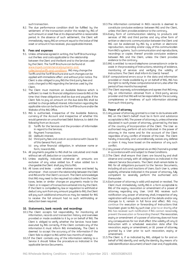such transaction.

8.2. The due performance condition shall be fulfilled by the settlement of the transaction and/or the receipt by ING of such amount or asset free at its disposal within a reasonable period. In the absence of such settlement, the Client will immediately repay ING an amount equal to the (value of the) asset or amount it has received, plus applicable interest.

#### <span id="page-4-2"></span>**9. Fees and expenses**

- 9.1. Unless otherwise agreed in writing, the Tariff Brochure lays out the fees and costs applicable to the relationship between the Client and the Bank and to the Services used by the Client. The Tariff Brochure can be found at www.ingwb.com/en/service/payments-andcollections/tariffs-and-conditions . ING may change the Tariffs and the Tariff Brochure and such changes can be applied with immediate effect and without prior notice. The Client is also obliged to pay ING the third party fees and costs charged to ING regarding the Services used by the Client.
- 9.2. The Client must maintain an Available Balance which is sufficient to meet its financial obligations towards ING at the time that these obligations shall be due and payable. If the Client fails to pay an amount on the due date ING shall be entitled to charge default interest. Information regarding the applicable rate can be found in the Tariff Brochure and/or the Website of the ING Office.
- 9.3. ING is authorised, irrespective of the Available Balance, currency of the Account and irrespective of whether this would generate an unauthorised Debit Balance, to debit the following from an Account:
	- (i) Tariffs for the Services and the provision of information in regard to the Services;
	- (ii) Payment Transactions;
	- (iii) (default) interest;
	- (iv) third party fees and costs in accordance with Claus[e 9.1](#page-4-0) of this General Part; and
	- (v) any other financial obligation, in whatever name or form, towards ING.
- 9.4. All payments payable to ING shall be calculated and made without set-off, deduction or counterclaim.
- 9.5. Unless explicitly indicated otherwise all amounts are exclusive of any value added tax. If value added tax is chargeable the Client shall pay this to ING.
- 9.6. All taxes and levies under whatever name and levied by whomever - that concern the relationship between the Client and ING are for the Client's account. The Client acknowledges that ING may need to (be required to) collect from the Client taxes, levies or similar charges on payments made to the Client or in respect of transactions entered into by the Client. If the Client is compelled by law or regulation to withhold or deduct any sum from any amount payable to ING, the Client will pay such additional amounts as may be needed for ING to receive the full amount had no such withholding or deduction been required.

#### <span id="page-4-1"></span>**10. Statements, bank records and recordings**

- 10.1.The Client accepts full responsibility for monitoring all information, records and transaction history and overviews provided or made available to it by or on behalf of ING. The Client is obliged to verify whether the Services have been executed by ING correctly. If the Client contests any of the information it must inform ING immediately. The Client is deemed to accept the accuracy of the information if the Client fails to object to ING within two months of receipt.
- 10.2.If the Client contests any of the information relating to a Service it should follow the procedure as indicated in the applicable Service Documents.
- 10.3.The information contained in ING's records is deemed to constitute conclusive evidence between ING and the Client, unless the Client provides evidence to the contrary.
- 10.4.Every form of communication relating to products and services of ING and third parties and any other form of written or electronic communication between the Client and ING can be evidenced by ING by a written or electronic reproduction, recording and/or copy of this communication from ING's systems. Such communication and reproductions, recordings or copies thereof provide conclusive evidence between ING and the Client, unless the Client provides evidence to the contrary.
- 10.5.ING is entitled to record telephone conversations in order to assist in the processing of Instructions, retaining of evidence, monitoring of services and verifying the validity of Instructions. The Client shall inform its User(s) hereof.
- <span id="page-4-0"></span>10.6.If computational errors occur in the data and information provided or made available by or on behalf of ING, ING has the right to rectify these computational errors, also after the period of two months has expired.
- 10.7.The Client expressly acknowledges and agrees that ING may rely on information obtained from a third-party service provider and that ING will not be responsible for the accuracy, completeness or timeliness of such information obtained from such third party.

# **11. Power of attorney**

- 11.1.Any power of attorney granted to a User to do business with ING on the Client's behalf must be in form and substance acceptable to ING. The power of attorney is, unless otherwise stipulated in such power of attorney, governed by the laws of the country of incorporation of the Client. The User so authorised may perform all acts indicated in the power of attorney in the name and for the account of the Client regardless of any conflict of interest of the User. The Client hereby irrevocably and unconditionally waives any defence or claim it may have based on the existence of any such conflict.
- 11.2.Any power of attorney granted via an ING Channel is granted in accordance with and subject to these Conditions.
- 11.3.The Client shall ensure that Users are bound by and shall observe and comply with all obligations as indicated in the relevant Service Documents. The Client shall remain liable to ING for all obligations pursuant to the Service Documents, including all acts and inactions of Users. Each User is, unless explicitly otherwise indicated in the power of attorney, fully competent to severally perform the authorised acts thereunder.
- <span id="page-4-3"></span>11.4.Each power of attorney is valid until expired or revoked. The Client must immediately notify ING in a form acceptable to ING of the expiry, revocation or amendment of a power of attorney regarding any User. Until ING receives such notification any power of attorney shall, irrespective of any registration with any public record of the details and/or any changes to it, remain in full force and effect. ING may continue the execution or forwarding of Instructions that have been given to ING by such User prior to or shortly after ING has received such notification if ING cannot reasonably prevent the execution or forwarding thereof. The revocation, expiry or amendment of a power of attorney does not have any consequences for nor shall affect (the validity of) any (i) Instruction with a scheduled execution date after the revocation, expiry or amendment, or (ii) power of attorney granted by a User prior to such revocation, expiry or amendment.
- 11.5.The Client is, if so indicated by ING, obliged to for and on behalf of ING identify and verify the identity (by means of a valid identification document) of each User and, if applicable,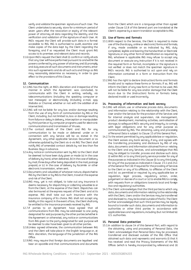verify and validate the specimen signature of such User. The Client undertakes to securely store for a minimum period of seven years after the revocation or expiry of the relevant power of attorney all data regarding the identity and the verification and validation of the signature of each User. At ING's request the Client will provide such data in a format accessible to ING. ING is authorised to audit, examine and make copies of the data kept by the Client regarding the foregoing, and if so requested the Client must grant ING access to its premises and relevant data and records.

11.6. Upon ING's request the Client shall (i) confirm or ratifu all acts that any User will have performed pursuant to and within the powers conferred by any power of attorney and (ii) promptly and duly execute all such documents and instruments, enter into such agreements and do all such acts and things as ING may reasonably determine as necessary in order to give effect to the provisions of this Clause.

# <span id="page-5-3"></span>**12. Communication**

- 12.1.ING has the right, at ING's discretion and irrespective of the manner in which the Agreement was concluded, to communicate with the Client in writing, verbally, via telecommunications (including the speaking computer or text messages) or electronically (including e-mail, app, Website or Channel, whether or not with the addition of an internet link).
- <span id="page-5-4"></span>12.2.ING will not be liable for any loss and/or damage resulting from the use of any form of communication by ING or the Client, including, but not limited to, loss or damage resulting from failure or delay in delivery, interception or manipulation by third parties or by computer programs used for electronic communications and transmission of Viruses**.**
- <span id="page-5-5"></span>12.3.The contact details of the Client and ING for any communication to be made or delivered under or in connection with any Service will be as stated in the Agreement, any other applicable Services Document or as otherwise updated by the Client vis-à-vis ING*.* The Client shall notify ING of amended contact details by not less than five Business Days in advance.
- 12.4.Any notice or communication sent by ING to the Client shall be deemed to have been duly given or made (a) in the case of delivery by hand, when delivered, (b) in the case of delivery by mail, three days after being deposited in the mail, postage prepaid, or (c) in the case of delivery by facsimile or other electronic transmission, when sent.
- 12.5.Documents and valuables of whatever nature, dispatched to ING by the Client or by INGto the Client, travel at the expense and risk of the Client.
- 12.6.ING may, yet is not obliged, to take out any insurance it deems necessary for dispatching or collecting valuables to or from the Client, at the expense of the Client. Dispatches can also be insured at the express request of the Client and at its expense. ING shall take out such insurance with the insurance company of its choice. ING shall not accept any liability in this regard. In the event of loss, the Client shall only be entitled to the insurance proceeds received by ING.
- 12.7.If parties to an Agreement have agreed that all communications from ING may be addressed to one party designated for said purposes by the other parties (whether in the Agreement or otherwise), any notice or communications from ING given to the party designated for said purpose will be deemed to also have been given to all other parties.
- <span id="page-5-0"></span>12.8.Unless agreed otherwise, the communication between ING and the Client will take place in the English language or, at ING's discretion, the language of the jurisdiction of the ING Office.
- 12.9.ING may require that foreign documents are legalised and bear an apostille and that communications and documents

from the Client which are in a language other than agreed under Claus[e 12.8](#page-5-0) of this General part are translated at the Client's expense by a sworn translator acceptable to ING.

# **13. Use of forms and formats**

- 13.1.With respect to the Services, the Client is required to make use of the (hardcopy, online or electronic) forms and formats, if any, made available or as indicated by ING, duly completed, legible and bearing the handwritten or Electronic Signature, or any other form of identification as required by ING, whatever is applicable. ING may refuse to accept any document or execute any Instruction if it is not received in the required form or format, incomplete or the signature is not verified or does not match the specimen signature in ING's records. ING is authorised to act upon and rely on information contained in a form or Instruction from the Client.
- 13.2.ING has the right to declare (instruction) forms and formats invalid and to replace these forms or formats. If so, ING will inform the Client of any new form or format to be used. ING will not be liable for any loss and/or damage that the Client incurs due to the (instruction) forms or formats being declared invalid or used incorrectly.

# <span id="page-5-2"></span>**14. Processing of information and bank secrecy**

- 14.1.ING will obtain, use or otherwise process data, documents and information relating to the relationship with the Client, User and/or the Services for the provision of the Services and for internal analysis and supervision, risk management, product development, marketing activities, centralisation of storage, to safeguard ING's security and integrity, to comply with legal obligations and for any other purpose as communicated by ING. The obtaining, using and processing of Personal Data is subject to Claus[e 15](#page-5-1) of this General Part.
- 14.2.To the extent permitted by any applicable law or regulation, the Client waives any bank secrecy, if any, and agrees with the transferring, processing and disclosure by ING of any data, documents and information obtained from or relating to the Client and any Services, and acknowledges that ING may be obliged to transfer, process and disclose such data, (i) within ING or to any third party service provider for any of the purposes as indicated in this Clause (ii) to any third party for any of the purposes as indicated in Claus[e 23.1](#page-7-0) an[d 24.1](#page-7-1) of the General Part (iii) if required for the providing of Services to the Client or any of its affiliates, to affiliates of the Client and (iv) as permitted or required by any applicable law or regulation, legal process, regulatory action, order, judgement or decree of a court or (v) to enable ING to comply with requests from or obligations towards local and foreign (tax and regulatory) authorities.
- 14.3.The Client acknowledges that the third parties to which any data, documents and information relating to the relationship with the Client, Users and/or the Services may be transferred and disclosed to, may be located outside of the EU. The Client further acknowledges that such third parties may be legally bound to transfer such data, documents and information to authorities or other third parties in accordance with applicable laws and regulations, including (but not limited to) U.S. authorities.

# <span id="page-5-1"></span>**15. Personal Data protection**

15.1.In addition to claus[e 14](#page-5-2) of this General Part, with regard to the obtaining, using and processing of Personal Data, the Client acknowledges that Personal Data may be processed, transferred and disclosed outside of the ING Office that obtained such data and represents and warrants (i) that it has received and read the Privacy Statements of the ING Offices (which is hereby incorporated by reference) and (ii)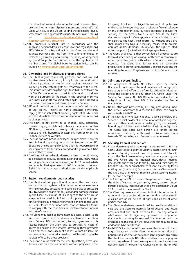that it will inform and refer all authorised representatives, Users and (other) natural persons interacting on behalf of the Client with ING to this Clause [15](#page-5-1) and the applicable Privacy Statements. The applicable Privacy Statements can be found on www.ingwb.com/en/service/privacy-and-legalstatements/privacy-statement .

15.2.ING processes Personal Data in accordance with the applicable personal data protection laws and regulations and ING's "Global Data Protection Policy for Client, supplier and business partner data" (as from time to time amended or replaced by a similar global policy). The policy was approved by the data protection authorities in the applicable EU Member States. The Global Data Protection Policy can be found on www.ing.com/Privacy-Statement.htm.

# **16. Ownership and intellectual property rights**

- 16.1.The Client is granted a strictly personal, non-exclusive and non-transferable license to, if applicable, use and install software provided by ING for the Services. However, no property or intellectual rights are transferred to the Client. This license provides only the right to install the software on the Client's computer and to use it for a Service in accordance with the purposes as indicated in the applicable Service Documents or as otherwise indicated by ING and is limited to the period the Client is authorised to use the Service.
- 16.2.ING and the third party, if any, who has conferred the right of use on ING retains all rights, including ownership, copyrights and intellectual property rights, of all ING Goods as well as to all information, recommendation and/or (other) services provided.
- 16.3.The Client is not permitted to change, copy, distribute, transfer, display, publish, sell or licence the (content of the) ING Goods, to produce or use any works derived from it or to create any link, hypertext or deep link from or to an ING Channel, Service or Website.
- 16.4.The trade names, brands and logos (or signs similar thereto) from ING and appearing on or in the Services and/or ING Goods are the property of ING. The Client is not permitted to use any of such trade names, brands and logos without ING's prior written consent.
- 16.5.The Client will immediately destroy or return the ING Goods, its personalised security credentials and/or any instruments for using a Service and/or accessing an ING Channel (which are capable of being returned) to ING, if requested to do so or if the Client is no longer authorised to use the applicable Service.

# <span id="page-6-0"></span>**17. System requirements and security**

- 17.1.The Client shall comply with and act upon the most recent instructions and system, software and other requirements for implementing, accessing and using a Service as stated by ING. ING will not be liable for any loss and/or damage incurred by the Client as a result of (i) changes to the software or equipment supplied by ING or a third party, (ii) improper functioning of equipment or software belonging to the Client or User (iii) failure to act upon instructions of ING or (iv) failure to comply with the conditions for implementation, access and use of a Service.
- 17.2.The Client may need to have internet access, access to an electronic communication network or software to be able to use a Service. ING is not a party to any agreement in this respect between the Client and its provider. All costs of access to and use of the services offered by these providers will be for the Client's account and ING will not be liable for any loss and/or damage incurred by the Client relating to the services offered by those providers.
- 17.3.The Client is responsible for the security of the systems and devices used to access a Service. Without prejudice to the

foregoing, the Client is obliged to ensure that up-to-date anti-Virus software, anti-spyware software, firewall software or any other relevant security tools are used to ensure the security of (the access to) a Service. Should the Client discover or suspect a Virus, spyware or unauthorised access to a Service the Client shall inform ING without delay and shall immediately take all necessary measures to prevent any loss and/or damage. ING reserves the right to block access to (part of) a Service following any such report.

17.4.The Client shall ensure that correct log-off procedures are followed when exiting or leaving unattended a computer or other applicable device with which a Service is used or accessed. The Client shall further take all reasonable precautions to prevent unauthorised use of a Service and the operating stations or IT systems from which a Service can be accessed.

# **18. Joint and several liability**

- 18.1.The obligations of each ING Office under the Service Documents are separate and independent obligations. Failure by an ING Office to perform its obligations does not affect the obligations of any other ING Office under the Service Documents. No ING Office is responsible for the obligations of any other ING Office under the Service Documents.
- 18.2.Unless otherwise instructed by ING, any debt arising under the Service Documents to a specific ING Office can only be repaid to that ING Office.
- 18.3.If the Client is, in whatever capacity, a joint beneficiary of a Service or a joint holder of an account or asset, it is, together with such other beneficiaries or holders, jointly and severally bound by and liable towards ING for all related obligations. The Client and each such person are, unless agreed otherwise, individually authorised to issue Instructions towards ING regarding such Service, account or asset.

# <span id="page-6-2"></span>**19. Security Interest and set-off**

- <span id="page-6-1"></span>19.1.In addition to any other Security Interest granted to ING, the Client undertakes to grant a Security Interest and herewith grants a Security Interest over all present and future (i) claims the Client now or at any time, has or acquires against the ING Office and (ii) financial instruments, monies, documents and other goods held by ING, or a third party on behalf of ING, for or on behalf of the Client, as security for all existing and (contingent) future amounts the Client owes to the ING Office at any given moment which Security Interest ING herewith accepts.
- 19.2.The Client grants ING an irrevocable power of attorney, with the right of substitution, to grant, create, register and/or perfect a Security Interest over the claims as stated in Clause [19.1](#page-6-1) to itself in the name of the Client.
- 19.3.The Client represents and warrants that it is authorised to grant and create the Security Interest and that the claims in question are or will be free of rights and claims of other parties than ING.
- 19.4.The Client undertakes vis-à-vis ING to provide (additional) collateral and Security Interests for all existing and future amounts that the Client owes to ING, on any account whatsoever, and to sign any agreement or any other documents that may be required in connection with the granting and the creation thereof, at the first request of ING and to the ING's satisfaction.
- <span id="page-6-3"></span>19.5.Each ING Office shall at all times be entitled to set-off all and any of its claims on the Client, whether or not due and payable and whether or not contingent, against any claims the Client has on such ING Office, whether due and payable or not, regardless of the currency in which such claims are denominated. If however the Client's claim on ING or ING's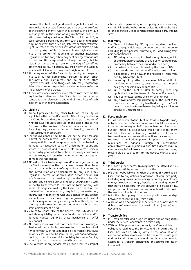claim on the Client is not yet due and payable, ING shall not exercise its right of set-off except upon the occurrence of one of the following events, which shall render such claim due and payable: in the event of a garnishment, seizure or attachment being levied upon the Clients' claim on ING, in case recovery is being sought from such debt in any other way, in the event that a Security Interest or other restricted right is created thereon, the Client assigns its claims on ING to a third party, the Client is declared bankrupt, has entered into a moratorium of payments or another insolvency regulation or statutory debt repayment arrangement applies to the Client. Debts expressed in a foreign currency shall be set-off at the exchange rate on the day of set-off as determined by ING. If possible, ING shall inform the Client in advance that it intends to exercise its right of set-off.

- 19.6.At the request of ING, the Client shall promptly and duly enter into such further agreements, execute all such other documents and instruments and do all such other registrations, acts and things as ING may reasonably determine as necessary or desirable in order to give effect to the provisions of this Clause.
- 19.7.If there are in one jurisdiction more offices from the same ING legal entity a reference to ING Office shall in this Clause be construed as a reference to any and all ING offices of such legal entity in the same jurisdiction.

#### **20. Liability**

- <span id="page-7-3"></span>20.1.Without prejudice to any other limitations of liability as stipulated in the Service Documents, ING will only be liable to the Client for any direct loss and/or damage, regardless of whether ING's liability is asserted on the basis of the Service Documents, the provision of Services, claim in contract, tort (including negligence), under an indemnity, breach of statutory duty or otherwise.
- <span id="page-7-2"></span>20.2.For the avoidance of doubt ING will not be liable for any indirect or consequential loss or damage. Indirect and consequential loss or damage includes, but is not limited to, damage to reputation, costs of procuring an equivalent service or product and loss of profit, business, business opportunity, goodwill, data, anticipated savings, customers and contracts, and regardless whether or not such loss or damage was foreseeable.
- 20.3.ING will not be liable for any loss and/or damage incurred by the Client as a result of the non or defective execution of any Instruction or performance of any Service if this is caused by (the introduction of or amendment to) any law, order, regulation, decree or administrative action and/or any interference or act or omission by or under the order of a government, central bank or any other body claiming such authority. Furthermore, ING will not be liable for any loss and/or damage incurred by the Client as a result of the confiscation, nationalization, requisition, sequestration, seizure, deprivation of the Account, Balance or any (other) account, asset or instrument by the government, central bank or any other body claiming such authority in the country of the relevant currency or where such account, asset or instrument is held.
- 20.4.Subject to Clause [20.2](#page-7-2) of the General Part, ING does not exclude any liability under these Conditions for loss and/or damage caused by ING's gross negligence or wilful misconduct.
- 20.5.ING does neither warrant that the facilities for providing a Service will be available, uninterrupted or complete at all times nor that such facilities shall be free from errors, faults or Viruses. ING will not be liable for any loss and/or damage resulting from the use of (or inability to use) a Service, including losses or damages caused by Viruses.
- 20.6.The Website or any Service may provide links to external

internet sites operated by a third party or said sites may contain links to the Website or a Service. ING will not be liable for the operation, use or content of such third-party internet sites.

# **21. Indemnity**

The Client will indemnify ING against any direct, indirect and/or consequential loss, damage, cost and expense (including legal expenses) incurred by ING and arising from or in connection with:

- ING being or becoming involved in any dispute, judicial or extrajudicial proceeding or any out-of-court (redress) proceeding between the Client and a third party;
- (ii) the collection of amounts owed by the Client to ING;
- (iii) the garnishment, seizure and/or attachment of any claim of the Client on ING or on any asset or instrument held by ING for the Client;
- (iv) claims by third parties made against ING in relation to the Client or any Service, unless caused by the gross negligence or wilful misconduct of ING;
- (v) failure by the Client or User to comply with any applicable law or the terms of a Services Document;
- (vi) fraud committed by the Client or User; and/or
- (vii) any power of attorney granted by (a) the Client to the User or a third party or by (b) a third party to the Client, and/or any action taken thereunder, being invalid, nonbinding or unenforceable.

#### **22. Force majeure**

ING will not be liable to the Client for its failure to perform any obligation under the Service Documents if such failure results from any cause beyond ING's reasonable control including, but not limited to, acts of God, war or acts of terrorism, industrial disputes, strikes any breakdown or failure of transmission or communication facilities or clearing and settlement organisations, power disruptions, acts, laws or regulations of national, foreign or international administrative, civil, or judicial authorities. If a force majeure event occurs, ING will take such actions or measures as may reasonably be required to limit the adverse effects of such event.

# **23. Third parties**

- <span id="page-7-0"></span>23.1.In providing the Services, ING may make use of third parties and may (partially) subcontract activities.
- 23.2.ING shall not be liable for any loss or damage incurred by the Client due to any actions or omissions of any third party (including any broker, intermediary or correspondent bank, agent, custodian, exchange, depositary or clearing house) if such party is necessary for the provision of Services or ING can prove that it has exercised reasonable skill and care in the selection of such third parties.
- 23.3.ING will not be a party to any underlying legal relationships between the Client and any third party.
- 23.4.A person who is not a party to the Service Documents has no rights to enforce or enjoy the benefit of any (term of) such document.

# **24. Transferability**

- <span id="page-7-1"></span>24.1.ING may transfer and assign its rights and/or obligations under the Service Documents to a third party.
- 24.2.Without ING's prior written consent, the Client's rights and obligations relating to the Services and the claim that the Client has vis-à-vis ING by virtue of the Account or in connection with a Service cannot be transferred or assigned and no Security Interest can and may be created over it, except for a transfer, assignment or Security Interest in favour of ING.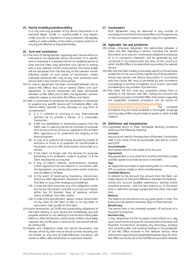#### **25. Partial invalidity/unenforceability**

If at any time any provision of the Service Documents is or becomes illegal, invalid or unenforceable in any respect under any law or regulation of any jurisdiction, the legality validity or enforceability of the other provisions shall not in any way be affected or impaired thereby.

#### <span id="page-8-0"></span>**26. Term and termination**

- <span id="page-8-2"></span>26.1.The term of the Agreement regarding each Service will be as indicated in the applicable Service Document. If no specific term is indicated, it is entered into for an indefinite period of time and the Client may terminate such Service in writing with a one calendar month notice period. The notice period will be calculated from the first day of the calendar month following receipt of such notice of termination. Unless indicated otherwise ING may at any time terminate such Service with a two months' notice period.
- 26.2.In case an Agreement has been concluded between one or several ING Offices and one or several Clients and such Agreement or Service thereunder has been terminated between an ING Office and a Client, the Agreement remains valid with respect to the other ING Offices and Clients.
- 26.3.ING is authorised to terminate the Agreement or terminate or suspend any specific Service with immediate effect and without being required to pay damages or any form of compensation:
	- (i) if it is unlawful or contrary to any (international) sanction list to provide a Service or a transaction thereunder;
	- (ii) if ING has established or reasonably suspects that the Client uses or used any Service for activities or purposes that (a) are contrary to laws or regulations, (b) can harm ING's reputation or (c) undermine the integrity of the financial system;
	- (iii) in case of (a suspicion of) money laundering, breach of sanctions or fraud or (a suspicion of) unauthorised or fraudulent use of an ING Authorisation Instrument or a Service;
	- (iv) if the Client no longer uses the Services for purposes pertaining to its profession, trade or business or if the Client has become a Consumer;
	- (v) if any of Client's licences, authorisations, consents and/or approvals that are relevant in connection with the Agreement, any Service Document and/or a Service are cancelled or revoked;
	- (vi) in the event of bankruptcy, insolvency, moratorium, statutory debt adjustment, dissolution or liquidation of the Client or any other analogous proceedings;
	- (vii) in case the Client breaches any of its obligations under the Service Documents and fails to correct such failure within five (5) Business Days of receiving written notice of default from ING; and/or
	- (viii) in case of the garnishment, seizure and/or attachment of any claim of the Client on ING or on any asset or instrument held by ING for the Client.
- 26.4.Upon termination, all Tariffs and outstanding obligations of the Client relating to such Service are immediately due and payable, whether or not relating to transactions taking place before or after termination, without prior written notice being required. Any Tariffs paid in advance for said period will not be reimbursed.
- 26.5.Rights and obligations under the Service Documents and Services which by their nature should survive, including, but not limited to, any and all indemnification provisions, will remain in effect after termination or expiration thereof.

# **27. Counterparts**

Each Agreement may be executed in any number of counterparts and this has the same effect as if the signatures on the counterparts were on a single copy of an Agreement.

#### **28. Applicable law and jurisdiction**

- 28.1.Unless otherwise stipulated, the relationship between a Client and ING regarding a Service, including the Service Documents and any non-contractual obligations arising out of or in connection therewith, will be governed by and construed in accordance with the laws of the country in which the ING Office is located which is providing the relevant Service.
- 28.2.ING and the Client hereby irrevocably submit to the exclusive jurisdiction of the courts of the capital city of the jurisdiction whose laws govern the Service Documents in accordance with this Clause. ING may (if permitted by law) commence proceedings in another competent court and/or concurrent proceedings in any number of jurisdictions.
- 28.3.The Client will first raise any complaints arising from or relating to the Services with ING, taking into account the complaint procedure of the ING Office. Information regarding the applicable complaint procedure can be found on www.ingwb.com/en/service/privacy-and-legal-

statements/complaints-procedures *.* The complaint procedure may be made available in the English language and any reply of ING may be made on paper or other durable medium.

#### <span id="page-8-1"></span>**29. Definitions and interpretation**

29.1.Capitalised terms in these Wholesale Banking Conditions shall have the following meaning:

# **Account**

Any account used for the execution of Payment Transactions held in the name of the Accountholder with ING or a thirdparty PSP.

#### **Accountholder**

Each person which is the holder of an Account.

# **Agreement**

Any agreement or any other form in which the Client accepts and ING agrees to provide Services to the Client.

#### **App**

An application provided or approved by ING or a third-party PSP on a phone, tablet or other (mobile) device.

#### **Available Balance**

In relation to the Account the amount that the Client can freely dispose of, being the difference between the Balance taking into account possible reservations, blocked and/or attached amounts - and the zero balance or, in the event that a credit limit has been agreed with the Client, the credit limit.

#### **Balance**

The balance on the Account at any given point in time. This balance is calculated on Business Days at fixed intervals.

# **Beneficiary**

The person who is the intended recipient of the funds of a Payment Transaction.

#### **Business Day**

A day designated by the European Central Bank as a day upon which banks are open for the execution of Services and Payment Transactions, excluding any Saturdays, Sundays and national public and banking holidays in the jurisdiction of the ING Office involved in the relevant Service. More information regarding the applicable Business Days for each ING Office can be found in the Tariff Brochure and/or Website.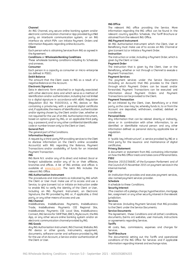#### **Channel**

An ING Channel, any secure online banking system and/or electronic communication channel or App provided by a third party, an interbank communication system, or an ING interface via which PSPs can initiate Payment Orders and Information Requests regarding online Accounts.

#### **Client**

Each person who is obtaining Services from ING as agreed in the Agreement.

# **Conditions** or **Wholesale Banking Conditions**

These wholesale banking conditions including its Schedules and annexes.

#### **Consumer**

Each person in a capacity as consumer or micro-enterprise (as defined in PSD2).

# **Debit Balance**

The amount that the Client owes to ING as a result of a negative Balance on the Account.

# **Electronic Signature**

Data in electronic form attached to or logically associated with other electronic data and which serve as a method of identification and/or authentication, including but not limited to a digital signature in accordance with eIDAS Regulation (Regulation (EU) No 910/2014)), a PKI, devices or files containing a private key with a personal digital certificate and, if applicable, the means of identification, authentication and/or signing chosen by the Client and/or User, whether or not required for the use of an ING Authorisation Instrument, based on options given by ING, or an applicable third party (e.g. a password, and/ or any other confidential identification code or number known only to the Client or User).

#### **General Part**

The general part of the Conditions.

# **Information Request**

A request by a third-party PSP providing services to the Client to disclose information on the Client's online accessible Account(s) with ING regarding the Balance, Payment Transactions and/or availability of funds for an intended Payment Transaction.

#### **ING**

ING Bank N.V. and/or any of its direct and indirect (local or foreign) subsidiaries and/or any of its or their affiliates, branches and offices. A list of ING entities and offices is available at www.ing.com. The term ING includes the relevant ING Office.

#### **ING Authorisation Instrument**

The procedures and instruments as indicated by ING which the Client or User must make use of to access and use a Service, to give (consent to) or initiate an Instruction and/or to enable ING to verify the identity of the Client or User, including an ING Payment Instrument, an Electronic Signature, the PKI provided by ING or, if applicable, a third party, or any other means of access and use.

#### **ING Channel**

InsideBusiness, InsideBusiness Payments, InsideBusiness Trade, InsideBusiness Payments CEE Regional Site, InsideBusiness Payments CEE Local Sites, InsideBusiness Connect, ING Service for SWIFTNet, EBICS, MyAccount,the ING App, or any other secure online banking system and/or an electronic communication channel provided by ING.

#### **ING Goods**

Any ING Authorisation Instrument, ING Channel, Website, ING PKI device or other goods, instruments, equipment, documents, software-carrier and software provided by ING for the use of an Account, a Service and/or authentication of the Client or User.

# **ING Office**

The relevant ING office providing the Service. More information regarding the ING office can be found in the relevant country specifics Schedule, the Tariff Brochure or obtained from the relevant ING Office.

#### **ING Payment Instrument**

An ING Authorisation Instrument which the Client, User or Beneficiary must make use of to access an ING Channel or give (consent to) or initiate a Payment Order.

#### **Instruction**

The instruction or order, including a Payment Order, which is given by the Client or User.

#### **Payment Order**

The instruction that is given by the Client, User or the Beneficiary, whether or not through a Channel to execute a Payment Transaction.

# **Payment Services**

The payment services under the Service Documents (including an Account) that ING provides to the Client through which Payment Orders can be issued and/or forwarded, Payment Transactions can be executed and information about Payment Orders and Payment Transactions can be provided to the Client.

#### **Payment Transaction**

An act initiated by the Client, User, Beneficiary or a third party, as the case may be, whereby funds in, to or from the Account are deposited, withdrawn, credited, debited or transferred.

#### **Personal Data**

Any information that can be related directly or indirectly, alone or in combination with other information, to an identified or identifiable natural person and any other information defined as personal data by applicable law or regulation.

# **PKI**

A "public key infrastructure", a service provided by ING or a third party for the issuance and maintenance of digital certificates.

#### **Privacy Statement**

A document or statement from ING containing information on how the ING Office treats and takes care of Personal Data. **PSD2**

Directive 2015/2366/EC of the European Parliament and of the Council of 25 November 2015 on payment services in the internal market.

# **PSP**

An institution that provides and executes payment services, also named payment services provider.

#### **Schedule**

A schedule to these Conditions.

#### **Security Interest**

(The creation of) a pledge, charge, hypothecation, mortgage, lien, assignment or any other security interest in the relevant jurisdiction.

#### **Services**

The services (including Payment Services) that ING provides to the Client under the Service Documents.

#### **Service Documents**

The Agreement, these Conditions and all (other) conditions, documents, (terms on) websites, user manuals, instructions or agreements regarding Services.

#### **Tariffs**

All costs, fees, commissions, expenses and charges for Services.

# **Tariff Brochure**

The document(s) setting out the Tariffs and operational conditions of the ING Office for Services and if applicable information regarding interest and exchange rates.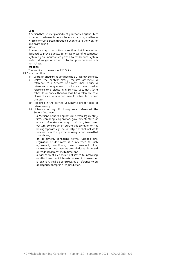#### **User**

A person that is directly or indirectly authorised by the Client to perform certain acts and/or issue Instructions, whether in written form, in person, through a Channel, or otherwise, for and on its behalf.

# **Virus**

A virus or any other software routine that is meant or designed to provide access to, or allow use of, a computer system by an unauthorised person, to render such system useless, damaged or erased, or to disrupt or deteriorate its normal use.

#### **Website**

The website of the relevant ING Office.

- 29.2.Interpretation:
	- (i) Words in singular shall include the plural and vice versa.
	- (ii) Unless the context clearly requires otherwise, a reference to a Services Document shall include a reference to any annex or schedule thereto and a reference to a clause in a Services Document (or a schedule or annex thereto) shall be a reference to a clause of such Services Document (or schedule or annex thereto).
	- (iii) Headings in the Service Documents are for ease of reference only.
	- (iv) Unless a contrary indication appears, a reference in the Service Documents to
		- a "person" includes any natural person, legal entity, firm, company, corporation, government, state or agency of a state or any association, trust, joint venture, consortium or partnership (whether or not having separate legal personality) and shall include its successors in title, permitted assigns and permitted transferees;
		- an agreement, conditions, terms, rulebook, law, regulation or document is a reference to such agreement, conditions, terms, rulebook, law, regulation or document as amended, supplemented or readopted from time to time; and
		- a legal concept such as, but not limited to, insolvency or attachment, which term is not used in the relevant jurisdiction, shall be construed as a reference to an analogous concept in such jurisdiction.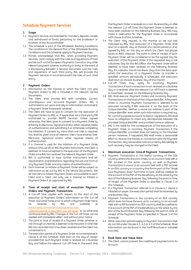# **Schedule Payment Services**

# **1 Scope**

- 1.1 Payment Services are intended for transfers, deposits, receipt and withdrawal of funds pertaining to the profession or business of the Accountholder.
- 1.2 This Schedule is part of the Wholesale Banking Conditions. The conditions in the General Part of the Wholesale Banking Conditions and this Schedule apply to Payment Services.
- 1.3 Parties acknowledge that ING, when providing Payment Services, must comply with the rules and regulations of third parties such as the European Payments Council or any other relevant payment scheme, authority or body. In the event of a discrepancy between a Services Document and the rules and regulations of such third party, ING will provide the Payment Services in accordance with the rules of such third party.

# **2 Payment Orders**

- 2.1 Information on the manner in which the Client can give Payment Orders to ING is included in the relevant Service Documents.
- 2.2 The Client shall provide ING with complete, correct, unambiguous and accurate Paument Orders. ING is authorised to act upon and rely on information contained in a Payment Order howsoever received.
- 2.3 The Client will have to give its consent for the execution of Payment Orders to ING, or, if applicable, via a third party PSP authorised to provide AIS/PIS Services. Unless agreed otherwise, the Client gives its consent to a Paument Order by entering its Electronic Signature and/or other required means of authentication and submitting it or otherwise completing the initiation. If consent by more than one User is required, this shall be given once all relevant Users have entered their Electronic Signature and/or other required means of authentication.
- 2.4 If a Channel is used for the initiation of a Payment Order without (the use of) an ING Payment Instrument, the Client is deemed to have consented to the execution of the Payment Order once ING has received the relevant Payment Order.
- 2.5 ING is authorised to issue further instructions and set requirements and limitations regarding the use and form of any Payment Order and any means of authentication.
- 2.6 Each (manner to initiate a) Payment Order will be subject to restrictions as set out by ING in the Service Documents. Not all manners to initiate Payment Orders are available to each Client and a Client can only use a manner to initiate a Payment Order if so approved by ING.
- <span id="page-11-1"></span>**3 Time of receipt and start of execution Payment Orders and Payment Transactions**
- 3.1 A Cut-off Time applies with respect to the start of the execution of Payment Orders. Information on the Cut-off Times and other times prior to which a Payment Order has to be received by ING are available at www.ingwb.com/en/service/payments-andcollections/what-is-payment-cut-off-times or as otherwise communicated by ING. Changes in the Cut-off Times can be applied with immediate effect and without prior notice.
- 3.2 The point in time of receipt of a Payment Order, whether or not through a Channel, is deemed to be the point in time that ING has recorded that it has been received and the Client has consented to it.
- 3.3 The execution period of a Payment Order as contemplated in Clause [4](#page-11-0) of this Schedule shall start on the day of receipt provided that such Payment Order is received on a Business Day and before the relevant Cut-off Time. In the event that

the Payment Order is received on a non-Business Day or after the relevant Cut-off Time, the Payment Order is deemed to have been received on the following Business Day. ING may make a reservation for the Payment Order in accordance with Claus[e 8](#page-13-0) of this Schedule**.**

- 3.4 The Client may request, in the manner as set out and indicated by ING, that execution of a Payment Order shall start on a specific day, at the end of a certain period or, if so agreed by ING, on the day on which the Client has placed funds at ING's disposal. The point in time of receipt of such Paument Order will be considered to be the agreed day for execution of the Payment Order. If the requested day is not a Business Day for the ING Office, the Payment Order will be deemed to have been received on the following Business Day. If a calendar month has fewer days than the date upon which the execution of a Payment Order to transfer a specified amount periodically is scheduled, the execution shall start on the last Business Day of that month.
- <span id="page-11-5"></span>3.5 Cut-off Times may apply for incoming Payment Transactions. If such transaction is not received on a Business Day or is received after the relevant Cut-off Time it is deemed to have been received on the following Business Day.
- 3.6 ING shall execute Payment Orders and incoming Payment Transactions on the basis of the Unique Identifier. A Payment Order or incoming Payment Transaction is deemed to be executed correctly if ING executes it on the basis of the Unique Identifier. Neither a name nor address is part of the Unique Identifier even when such information is required e.g. for control purposes pursuant to laws or regulations. ING shall have no obligation to check any discrepancies between the provided Unique Identifier and provided name or address.
- 3.7 ING is not liable for the consequences of the execution of a Payment Order or incoming Payment Transaction if the Unique Identifier provided does not belong to the intended person. However, if requested, ING shall make a reasonable effort to recover the monies in connection with the Payment Transaction. Any reasonable costs incurred by ING relating to such recovery may be charged to the Client.

#### <span id="page-11-0"></span>**4 Maximum execution time of Payment Transactions**

- <span id="page-11-2"></span>4.1 Payment Transactions in the lawful currency of the EEA country where the Account is held, to an account held with a PSP located in the same country, as well as Payment Transactions in euros to an account held with a PSP located in an EEA country or a country that forms part of the "Single Euro Payments Area" from time to time shall be credited to the account of the PSP of the Beneficiary at the latest by the end of the following Business Day following the point in time of receipt of the Payment Order as specified in Claus[e 3](#page-11-1) of this Schedule.
- <span id="page-11-3"></span>4.2 If a Payment Transaction referred to in Clause [4.1](#page-11-2) above is initiated on paper, the execution period shall be extended by one Business Day.
- <span id="page-11-4"></span>4.3 Payment Transactions in the currency of an EEA country which does not have the euro as its currency, to an account held with a PSP located in an EEA country shall be credited to the account of the PSP of the Beneficiary at the latest by the end of the fourth Business Day following the point in time of receipt of the Payment Order as specified in Claus[e 3](#page-11-1) of this Schedule.
- 4.4 Other execution periods apply to Payment Transactions that do not fall under Clause[s 4.1,](#page-11-2) [4.2](#page-11-3) o[r 4.3](#page-11-4) of this Schedule. More information can be found in the Tariff Brochure or obtained from ING.

# **5 Book Date and Value Date**

5.1 The Client cannot prevent the crediting of payments into its Account.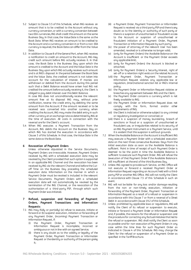- 5.2 Subject to Claus[e 3.5](#page-11-5) of this Schedule, when ING receives an amount that is to be credited to the Account without any currency conversion, or with a currency conversion between two EEA currencies, ING shall credit this amount on the same Business Day. In that case, the Value Date is the same as the Book Date. When ING receives an amount to be credited to the Account and a currency conversion in or from a non-EEA currency is required, the Book Date can differ from the Value Date.
- 5.3 In addition to Claus[e 8](#page-3-1) of the General Part, when ING receives a notification to credit an amount to the Account, ING may credit such amount before ING actually receives it. In that case, the Book Date is the Business Day upon which the amount is credited to the Account and the Value Date is the Business Day upon which ING actually receives such amount and is at ING's disposal. In the period between the Book Date and the Value Date, the credited amount is not taken into account for the calculation of interest. If monies are withdrawn or debited from the Account during this period such that a Debit Balance would have arisen had ING not credited the amount before actually receiving it, the Client is obliged to pay debit interest over this Debit Balance.

In case ING does not unconditionally receive the relevant amount free at its disposal ING may, without prior notification, reverse the credit entry by debiting the same amount from the Account. If the amount received or to be received was converted into another currency when crediting the Account, ING may make the debit entry in such other currency at an exchange rate as determined by ING at the time of execution. All costs in connection with the reversal are for the Client's account.

5.4 When ING executes a Payment Transaction from the Account, ING debits the Account on the Business Day on which ING has started the execution in accordance with Claus[e 3](#page-11-1) of this Schedule. In that case, the Value Date is the same date as the Book Date.

# <span id="page-12-2"></span>**6 Revocation of Payment Orders**

Unless otherwise stipulated in the Service Documents, Payment Orders are irrevocable. However, Payment Orders received by ING with a scheduled execution date may be revoked by the Client provided that such option is supported in an applicable ING Channel and the revocation has been received by ING via the relevant Channel and before the Cutoff Time on the Business Day preceding the scheduled execution date. Information on the manner in which a Payment Order must be revoked is included in the relevant Service Documents. Payment Orders with a scheduled execution date will not automatically be revoked by the termination of the ING Channel, or the revocation of the authorisation of a third-party PSP, through which such Payment Order was initiated.

- <span id="page-12-1"></span>**7 Refusal, suspension and forwarding of Payment Orders, Payment Transactions and Information Requests**
- 7.1 ING may (fully or partially) (a) refuse to execute, initiate or forward or (b) suspend execution, initiation or forwarding of any Payment Order, (incoming) Payment Transaction or Information Request, if:
	- (i) the Payment Order, Payment Transaction or Information Request is incomplete, incorrect or ambiguous or not in line with an agreed Service;
	- (ii) there is any doubt as to the validity or legality of the Payment Order, Payment Transaction or Information Request or the identity or authority of the person giving it;
- (iii) a Payment Order, Payment Transaction or Information Request is received via a third party PSP and there is any doubt as to the identity or authority of such party or there is a suspicion of unauthorised or fraudulent access to the Account or suspicion of unauthorised or fraudulent initiation of a Payment Order, Payment Transaction or Information Request by such party;
- (iv) the power of attorney of the relevant User has been amended, revoked or is otherwise no longer valid;
- (v) (only for Payment Orders) the Available Balance on the Account is insufficient or the Payment Order exceeds any applicable limit;
- (vi) (only for Payment Orders) the Account is blocked or attached;
- (vii) (only for Payment Orders) a Security Interest, right of set-off or a retention right exists on the related Account;
- (viii) the Payment Order, Payment Transaction or Information Request violates any applicable law or regulation, (inter)national sanction list or ING's internal policy;
- (ix) the Payment Order or Information Request violates or breaches any agreement between ING and the Client;
- (x) the Payment Order concerns a currency which is not freely available to ING;
- (xi) the Payment Order or Information Request does not comply with the form, format and/or other requirements of ING;
- (xii) the Client is indicted or otherwise subject to any criminal or regulatory investigation or convicted; or
- (xiii) there is a suspicion of money laundering, breach of sanctions or fraud or a suspicion of unauthorised or fraudulent use, or irregularities related to its security of an ING Payment Instrument or a Payment Service, until it is evident that this suspicion is without grounds.
- 7.2 When the Available Balance on the Account is insufficient ING may execute a Payment Order with a scheduled execution date on the next three consecutive Business Days from the initial execution date as soon as the Available Balance is sufficient. Point in time of receipt of such Payment Order is deemed to be the point in time the Available Balance is sufficient to execute such Payment Order. ING will refuse the (execution of the) Payment Order if the Available Balance is still insufficient at the end of the third Business Day.
- 7.3 Unless ING agreed to provide such Service, an ING Office will not execute or forward a received Payment Order or Information Request regarding an Account held with a thirdparty PSP or another ING Office. ING will not notify the Client in accordance with Clause [7.5](#page-12-0) of this Schedule in such an event.
- 7.4 ING will not be liable for any loss and/or damage resulting from the non or non-timely execution, initiation or forwarding of the Payment Order, Payment Transaction or Information Request as a result of a refusal or suspension in accordance with this Claus[e 7](#page-12-1) or from a reversal of a Direct Debit in accordance with Claus[e 19.2](#page-14-0) of this Schedule.
- <span id="page-12-0"></span>7.5 Unless prohibited by applicable laws or regulations, ING will notify the Client of its refusal or suspension to execute, initiate or forward a Payment Order or Information Request and, if possible, the reasons for the refusal or suspension and the procedure for correcting any factual mistakes that led to the refusal or suspension. ING shall notify the Client as soon as possible and for non-execution of Payment Orders in any case within the time lines for such Payment Order as indicated in Claus[e 4](#page-11-0) of this Schedule. ING may charge the Client for the refusal or suspension of a Payment Order as specified in the Tariff Brochure.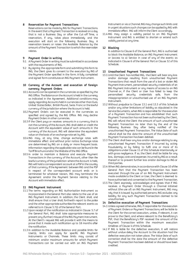#### <span id="page-13-0"></span>**8 Reservation for Payment Transactions**

Reservations can be made by ING for Payment Transactions. In the event that a Payment Transaction is received on a day that is not a Business Day or after the Cut-off Time, a reservation, if any, takes place immediately and the execution will start on the following Business Day. A reservation lowers or raises the Available Balance by the amount of the Payment Transaction to which the reservation relates.

# **9 Payment Order in writing**

- 9.1 A Payment Order in writing must be submitted in accordance with the requirements of ING.
- 9.2 By signing the appropriate form and submitting this form to ING, the Client gives its consent to the execution by ING of the Payment Order specified in the form. A fully completed and signed form constitutes an ING Payment Instrument.

# **10 Currency of the Account and execution of foreign currency Payment Orders**

- 10.1 Accounts can be opened in the currencies as specified by the ING Office. The Balance on the Account is held in the currency as indicated in the Agreement. Additional conditions may apply regarding Accounts held in currencies other than Euro, United States Dollar, British Pound, Swiss Franc or the lawful currency of the jurisdiction where the Account is held.
- 10.2 Payment Orders can be executed in the currencies as specified and agreed by the ING Office. ING may decline Payment Orders in other currencies.
- 10.3 If the Client paus or receives amounts in a currencu that is not the currency of the Account, ING shall debit or credit the Account with the equivalent value of such amounts in the currency of the Account. ING will determine the equivalent value on the basis of an exchange rate set by ING.
- 10.4 ING may, at any time, change exchange rates with immediate effect and without prior notice. Exchange rates are determined by ING on a daily or more frequent basis. Information regarding the applicable rate can be found in the Tariff Brochure and/or the Website of the ING Office.
- <span id="page-13-6"></span>10.5 In order to maintain a Balance and execute Payment Transactions in the currency of the Account, other than the lawful currency of the jurisdiction where the Account is held, ING will hold a correspondent account at a PSP in the country of that currency. If the Agreement between ING and the PSP in respect of the correspondent account ends or is terminated for whatever reason, ING may terminate the Agreement and/or the Payment Service relating to the Account with immediate effect.

# <span id="page-13-3"></span>**11 ING Payment Instrument**

- 11.1 The terms regarding an ING Authorisation Instrument as incorporated in the General Part also relate to the use of an ING Payment Instrument. In addition, the Client shall, and shall ensure that a User shall, forthwith report to the police and the other appropriate authorities the relevant events as referred to in Claus[e 5.7\(i\)](#page-3-2) of the General Part.
- 11.2 Upon receipt of the notification as indicated in Clause [5.7](#page-3-3) of the General Part, ING shall take appropriate measures to prevent any (further) misuse of the ING Payment Instrument. At the Client's request ING will provide it with the means to prove that it made such notification up to 18 months after the notification.
- 11.3 In addition to the Available Balance and possible limits for User(s), limits can apply for specific ING Payment Instruments or Channels. These limits may consist of minimum and/or maximum amounts for which Payment Transactions can be carried out with an ING Payment

Instrument or via a Channel. ING may change such limits and in urgent situations such changes can be applied by ING with immediate effect. ING will inform the Client accordingly.

11.4 ING may assign a validity period to an ING Payment Instrument and ING is entitled to shorten or extend such validity period at any time.

# **12 Blocking**

In addition to Claus[e 6](#page-3-4) of the General Part, ING is authorised to block the Available Balance, an ING Payment Instrument or (access to a) Service in case of any of the events as indicated in Claus[e 6](#page-3-4) of the General Part or Claus[e 32](#page-17-0) of this Schedule.

# **13 Unauthorised Payment Transactions**

- <span id="page-13-1"></span>13.1 Until the Client has notified ING, the Client will bear any loss and/or damage resulting from unauthorised Payment Transactions that result from the use of a lost or stolen ING Payment Instrument, personalised security credentials of an ING Payment Instrument or any means of access to an ING Channel or, if the Client or User has failed to keep the personalised security credentials safe, from the misappropriation or unauthorised use of an ING Payment Instrument.
- 13.2 Without prejudice to Claus[e 13.1](#page-13-1) an[d 13.3](#page-13-2) of this Schedule and/or any other limitations of liability as stipulated in the Service Documents, when ING is responsible for the execution of a Payment Transaction and has established that such Payment Transaction has not been authorised by the Client, ING will refund the Client the amount of such unauthorised Payment Transaction no later than by the end of the following Business Day after being notified of the unauthorised Payment Transaction. The Value Date of such refund shall be the date the amount of the unauthorised Payment Transaction has been debited.
- <span id="page-13-2"></span>13.3 The Client shall bear any loss and/or damage relating to any unauthorised Payment Transaction if incurred by acting fraudulently or by failing to fulfil one or more of its obligations under Claus[e 11](#page-13-3) of this Schedule intentionally or with gross negligence. If so, the Client shall be liable for any loss, damage, costs and expenses incurred by ING as a result thereof or to prevent further loss and/or damage to ING or third parties.
- 13.4 When ING demonstrates, in accordance with Claus[e 10](#page-4-1) of the General Part that the Payment Transaction has been executed through the use of an ING Payment Instrument made available to the Client or User, the Client is deemed to have authorised and consented to the Payment Transaction.
- 13.5 The Client expressly acknowledges and agrees that if ING receives a Payment Order through a Channel initiated without (the use of) an ING Payment Instrument, ING may rely that it is issued by authorised persons. ING excludes any liability for any such Payment Transaction claimed to be unauthorised.

#### **14 Defective execution of Payment Transactions**

- <span id="page-13-4"></span>14.1 Unless agreed otherwise, ING, if responsible for the execution of Payment Orders or Payment Transactions, will be liable to the Client for the correct execution, unless, if relevant, it can prove to the Client, and where relevant to the Beneficiary's PSP, that the Beneficiary's PSP received the amount of the Payment Transaction within the maximum execution timelines of Claus[e 4](#page-11-0) of this Schedule.
- <span id="page-13-5"></span>14.2 If ING is liable for the defective execution, it will restore without undue delay the Account to the situation had the defective execution not taken place. The Value Date of such correction shall be the date the amount of the defective Payment Transaction has been debited or should have been credited.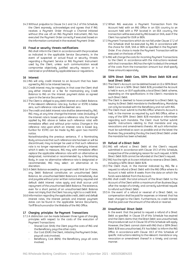14.3 Without prejudice to Claus[e 14.1](#page-13-4) an[d 14.2](#page-13-5) of this Schedule, the Client expressly acknowledges and agrees that if ING receives a Payment Order through a Channel initiated without (the use of) an ING Payment Instrument, ING has executed the Payment Order correctly if executed based on the information contained in the received Payment Order.

#### **15 Fraud or security threats notifications**

ING shall inform the Client in accordance with the procedure as indicated in the applicable Service Documents, in the event of suspected or actual fraud or security threats regarding a Payment Service or ING Payment Instrument used by the Client, unless such communication would compromise objectively justified security reasons or is restricted or prohibited by applicable laws or regulations.

#### **16 Interest**

- 16.1 ING will only credit interest to an Account that has been agreed by ING to be interest bearing.
- 16.2 Credit interest may be negative, in that case the Client shall pay either interest or a fee for maintaining any Credit Balance to ING on the interest payment dates as agreed upon in the Service Documents.
- 16.3 The Client is obliged to pay debit interest on a Debit Balance. If the relevant reference rate (e.g. Euribor or €STR) is below zero, such reference rate will be deemed zero.
- 16.4 The credit and debit interest rate shall be determined by ING. ING may, at any time change the interest rates (including, if the interest rate is based upon a reference rate, the margin applied by ING above or below such reference rate) with immediate effect and without prior notice. Changes in the reference rate upon which an interest rate is based (e.g. Euribor for €STR) can be made by ING upon two months' notice.

Notwithstanding the previous sentence, if a Nominating Body announces that such reference rate has been or will be discontinued, may no longer be used or that such reference rate is no longer representative of the underlying interest which it seeks to measure, ING may with immediate effect replace the applicable reference rate with an alternative as designated, nominated or recommended by a Nominating Body. In case no alternative reference rate is designated or recommended, ING may select an alternative at its discretion.

- 16.5 A Debit Balance exceeding an agreed credit limit (or if none, any Debit Balance) constitutes an unauthorised Debit Balance. An unauthorised Debit Balance is immediately due and payable without prior written notice being required and default debit interest rates apply and shall accrue until repayment of the unauthorised Debit Balance. The existence, even for a short period, of an unauthorised Debit Balance does not imply that the Client has any right to a credit limit.
- 16.6 Information regarding the applicable credit, debit and default interest rates, the interest periods and interest payment dates can be found in the applicable Service Documents, Tariff Brochure and/or the Website of the ING Office.

#### **17 Charging principles for Payment Transactions**

- 17.1 A distinction can be made between three types of charging principles with respect to the costs of the execution of Payment Transactions:
	- Shared Cost (SHA): the Client pays the costs of ING and the Beneficiary pays the other costs;
	- Our Cost (OUR): the Client, initiating the Payment Order, pays all costs involved;
	- Beneficiary Cost (BEN): the Beneficiary pays all costs involved.
- <span id="page-14-1"></span>17.2 When ING executes a Payment Transaction from the Account held with an ING Office in an EEA country to an account held with a PSP located in an EEA country, the transaction will be executed by ING based on SHA, even if the Client has opted for OUR or BEN.
- 17.3 Payment Transactions which do not fall under Claus[e 17.2](#page-14-1) of this Schedule shall be executed by ING in accordance with the choice for OUR, SHA or BEN as specified in the Payment Order. If no choice is made the Payment Transaction will be executed on the basis of SHA.
- 17.4 ING will charge the costs for incoming Payment Transactions to the Client in accordance with the instructions received with that transaction. ING has the right to deduct the amount of the costs from the transaction amount but shall specify these amounts separately.

# **18 SEPA Direct Debit Core, SEPA Direct Debit B2B and local Direct Debit**

- 18.1 The Client's Account can be debited based on (i) a SEPA Direct Debit Core or a SEPA Direct Debit B2B, provided the Account is held in euro, or (ii) if applicable, a local Direct Debit scheme, depending on the specifications in the Client's mandate to such Direct Debit.
- 18.2 The Client is deemed to have consented to a Direct Debit by issuing its Direct Debit mandate to the Beneficiary. Mandates can only be revoked with the Beneficiary and not with ING.
- <span id="page-14-4"></span>18.3 The Client must submit to the ING Office where its Account is held, in the manner as required by such ING Office, either a copy of the SEPA Direct Debit B2B mandate or information regarding such mandate. The Client must further submit specific instructions relating to that mandate and any revocations and amendments thereto. All such information must be submitted as soon as possible and at the latest the Business Day preceding the day the (next) Direct Debit under the mandate has been scheduled.

#### <span id="page-14-3"></span>**19 Refund of a Direct Debit**

- 19.1 ING will refund a Direct Debit at the Client's request submitted in accordance with Claus[e 19.3](#page-14-2) of this Schedule, irrespective of the underluing reason for such request. A SEPA Direct Debit B2B cannot be refunded at the Client's request.
- <span id="page-14-0"></span>19.2 ING has the right at its own initiative to reverse a Direct Debit, including a SEPA Direct Debit B2B.
- <span id="page-14-2"></span>19.3 The Client must, in the manner indicated by ING, file a request to refund a Direct Debit with the ING Office where its Account is held within 8 weeks from the date on which the funds were debited from the Account.
- 19.4 ING shall credit the total amount of the Direct Debit to the Account of the Client within a maximum of ten Business Days after the receipt of a timely and correctly submitted request to refund such Direct Debit.
- 19.5 In the event of a refund or reversal of a Direct Debit, no compensation shall be paid for expenses or interest that has been charged to the Client. Furthermore, no credit interest shall be paid over the amount of the refund or reversal.

#### **20 Unauthorised Direct Debit**

In the event that the period to request a refund of a Direct Debit as specified in Claus[e 19](#page-14-3) of this Schedule has expired and the Client claims that the Direct Debit was unauthorised, the procedure set out in Claus[e 30](#page-16-0) of this Schedule will apply. However, the Client cannot claim with ING that a SEPA Direct Debit B2B was unauthorised, if it has failed to inform the ING Office in accordance with Clause [18.3](#page-14-4) of this Schedule of specific instructions relating to the relevant mandate or any revocation or amendment thereof in a timely and correct manner.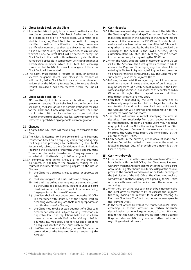#### **21 Direct Debit block by the Client**

- 21.1 If requested ING will apply to, or remove from the Account, a selective or general Direct Debit block. A selective block can be a blacklist block or a whitelist block. As a result of a blacklist block, any Direct Debit to the credit of a Unique Identifier, creditor identification number, mandate identification number or to the credit of accounts held with a PSP in a certain country will not be executed. As a result of a whitelist block, no Direct Debit will be executed, except for Direct Debits to the credit of those Beneficiary identification numbers (if applicable, in combination with specific mandate identification numbers) which the Client has expressly communicated to ING. As a result of a general block, no Direct Debit will be executed.
- 21.2 The Client must submit a request to apply or revoke a selective or general Direct Debit block in the manner as indicated by ING. A Direct Debit block shall come into effect no later than the following Business Day after receipt of such request provided it has been received before the Cut-off Time.

# **22 Direct Debit block by ING**

ING has the right at its reasonable discretion to apply a general or selective Direct Debit block to the Account. ING shall notify the Client as soon as possible stating the reasons for the block and, if necessary, which measures the Client should take to lift the block, unless such communication would compromise objectively justified security reasons or is restricted or prohibited by applicable laws or regulations.

#### <span id="page-15-2"></span>**23 Cheques**

- 23.1 If agreed, the ING Office will make Cheques available to the Client.
- 23.2 The Client is deemed to have consented to a Payment Transaction based on a Cheque by completing and signing the Cheque and providing it to the Beneficiary. The Client's Account will, subject to these Conditions and any limitations regarding the execution of Payment Orders and Payment Transactions, be debited based on such Cheque presented by or on behalf of the Beneficiary to ING for payment.
- <span id="page-15-1"></span>23.3 A completed and signed Cheque is an ING Payment Instrument. In addition to the provisions relating to ING Payment Instruments the following applies to the use of Cheques:
	- (i) the Client may only use Cheques issued or approved by ING;
	- (ii) the Client may not put a future date on a Cheque;
	- (iii) ING shall not be liable for any loss or damage incurred by the Client as a result of ING paying a Cheque before the date inserted on it or as a result of the counterfeiting, forgery or fraudulent use of Cheques;
	- (iv) the Client shall without undue delay notify the ING Office in accordance with Clause [5.7](#page-3-3) of the General Part on becoming aware of any loss, theft, misappropriation or unauthorised use of a Cheque;
	- (v) the Client may revoke or stop payment of a Cheque in accordance with and subject to any restrictions in applicable laws and regulations before it has been presented by or on behalf of the Beneficiary to ING for payment. ING may apply a fee for revoking or stopping a Cheque as specified in the Tariff Brochure; and
	- (vi) the Client must return to ING any unused Cheques upon termination of (the Payment Service relating to) the Account.

#### <span id="page-15-3"></span>**24 Cash deposits**

- <span id="page-15-0"></span>24.1 If the Service of cash deposits is available with the ING Office, the Client may if agreed during office hours on Business Days make cash deposits in the currency of the Account into the Account at the counter of the ING Office, if available, at a cash deposit machine on the premises of the ING Office, or in any other manner specified by the ING Office, provided the currency of the deposit is the lawful currency of the jurisdiction of the ING Office. The Client may make a deposit in another currency if so agreed by the ING Office.
- 24.2 When the Client deposits cash in accordance with Clause [24.1](#page-15-0) of this Schedule, the Client gives its consent to ING to execute the Payment Order by signing the relevant form, entering its Electronic Signature, ING Payment Instrument or via any other method as required by ING. The Client may not subsequently revoke the Payment Order.
- 24.3 ING may impose restrictions regarding the minimum and/or maximum amount in coins and number of banknotes that may be deposited at a cash deposit machine. If the Client wishes to deposit coins or banknotes at the counter of an ING Office or through other accepted means, additional requirements/restrictions may apply.
- 24.4 Cash that is deposited by the Client is counted and its authenticity may be verified. ING is obliged to confiscate counterfeit coins and banknotes and will not credit these to the Account nor will it provide any compensation for the confiscated coins and banknotes.
- 24.5 The Client will receive a receipt specifying the amount deposited. A transaction slip from a cash deposit machine is for information purposes only and the Client may not derive any rights therefrom. Notwithstanding Claus[e 29](#page-16-1) an[d 30](#page-16-0) of Schedule Payment Services, if the referenced amount is incorrect, the Client must report this immediately at the counter of the ING Office.
- 24.6 Cash deposits in the currency of the Account made on a Business Day will be credited to the Account at the latest the following Business Day, after which the amount is at the Client's disposal.

#### **25 Cash withdrawals**

- 25.1 If the Service of cash withdrawals in banknotes and/or coins is available with the ING Office, the Client may if agreed withdraw from the Account an amount in the currency of the Account during office hours on a Business Day at the counter provided the amount withdrawn is in the lawful currency of the jurisdiction of the ING Office. The Client may make a withdrawal in another currency if so agreed by the ING Office. Amounts withdrawn will be debited from the Account the same day.
- 25.2 When the Client withdraws cash in either banknotes or coins, the Client gives its consent to ING to execute the Payment Order by signing the relevant form and/or entering its Electronic Signature. The Client may not subsequently revoke the Payment Order.
- 25.3 In the event of withdrawals at the counter of an ING Office exceeding a specific amount, in certain banknote denominations or in a large amount of coins, ING may require that the Client notifies ING at least three Business Days in advance. ING may impose further restrictions regarding cash withdrawals.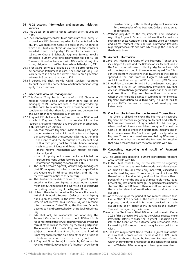- <span id="page-16-2"></span>**26 PSD2 account information and payment initiation services**
- 26.1 This Clause [26](#page-16-2) applies to AIS/PIS Services as introduced by PSD2.
- 26.2 The Client may give consent to an authorised third-party PSP to provide AIS/PIS Services regarding its Accounts held with ING. ING will enable the Client to access an ING Channel in which the Client can obtain an overview of the consents provided to such third party PSP's, revoke a consent and, subject to Clause [6](#page-12-2) Schedule Payment Services, revoke scheduled Payment Orders initiated via such third party PSP. The revocation of such consent with ING is without prejudice to any obligation of the Client towards such third party PSP.
- 26.3 If for AIS/PIS Services provided by a third-party PSP no ING Authorisation Instrument is used, the Client can only use such services if and to the extent there is an agreement between ING and such third-party PSP.
- 26.4 If agreed, ING shall provide AIS/PIS Services regarding Accounts held with another bank. Additional conditions may apply to such Services.

# <span id="page-16-3"></span>**27 Inter-bank account management**

- 27.1 This Clause [27](#page-16-3) applies to the use of an ING Channel to manage Accounts held with another bank and to the managing of ING Accounts with a channel provided by another bank. To be able to facilitate these Services it is a condition for ING that there is an agreement between ING and such other bank regarding such services.
- 27.2 If agreed, ING shall enable the Client to use an ING Channel to submit Payment Orders to and receive information regarding Accounts held with any ING Office or another bank. If ING provides such Services:
	- (i) ING shall forward Payment Orders to third-party banks and/or make available information from third-party banks provided that the Accountholder has authorised:
		- the Client to add the Accountholder's Account held with a third-party bank to the ING Channel, manage such Account, initiate and forward Payment Orders and/or receive information with respect to such Account; and
		- the third-party bank where the Account is held to execute Payment Orders forwarded by ING and send information regarding the Account to ING.
	- (ii) The Client herewith expressly acknowledges and agrees that ING may rely that all authorisations as specified in this Clause are in full force and effect until ING has received written notice to the contrary.
	- (iii) The Client authorises ING to forward a Payment Order by entering its Electronic Signature and/or other required means of authentication and submitting it or otherwise completing the initiating of the Payment Order.
	- (iv) Unless otherwise indicated in the Service Documents, ING shall forward a Payment Order to the third-party bank upon its receipt. In the event that the Payment Order is not received on a Business Day or is received after the relevant Cut-off Time, the Payment Order is deemed to have been received on the following Business Day.
	- (v) ING shall only be responsible for forwarding the Payment Order to the third-party bank. ING is not liable for conformity of the forwarded Payment Order with the format standards as specified by the third-party bank. The execution of forwarded Payment Orders shall be subject to the conditions of the third-party bank and NG is not responsible for the execution of those instructions or liable for the actions of such third-party bank.
	- (vi) A Payment Order (to be) forwarded by ING cannot be revoked with ING. Revocation of a Payment Order is only

possible directly with the third-party bank responsible for the execution of the Payment Order and subject to its conditions.

27.3 Without prejudice to the requirements and limitations regarding Payment Orders and Information Requests as indicated in these Conditions, if agreed the Client can initiate and submit Payment Orders or issue Information Requests regarding its Accounts held with ING through the Channel of third-party bank.

#### **28 Account information**

- 28.1 ING will inform the Client of the Payment Transactions, including costs, fees and the Balance on its Account, and, if the Client is so authorised, a third-party Account with ING with the frequency and in the manner as agreed. The Client can choose from the options that ING offers at the rates as specified in the Tariff Brochure. If agreed, ING will provide such information through an ING or third-party PSP Channel.
- 28.2 In addition to Clauses [14](#page-5-2) an[d 15](#page-5-1) of the General Part, upon receipt of a (series of) Information Request(s) ING shall disclose information regarding the Balance and the initiation and execution of Payment Transactions, and confirm whether the Available Balance is sufficient for an intended Payment Transaction, to a third-party PSP authorised to provide AIS/PIS Services or issuing card-based payment instruments.

#### <span id="page-16-1"></span>**29 Checking the information on Payment Transactions**

The Client is obliged to check the information regarding Payment Transactions regarding an Account held with ING that has been provided to it by or on behalf of ING promptly when provided. If made available through a Channel the Client is obliged to check the information regularly and at least once a week. The Client is obliged to verify whether Payment Transactions have been executed by ING correctly and whether it has authorised the Payment Transactions that have been debited from the Account held with ING.

# <span id="page-16-0"></span>**30 Contesting, approving and recall of Payment Transactions**

- 30.1 This Clause only applies to Payment Transactions regarding Accounts held with ING.
- 30.2 If the Client contests any of the information regarding Payment Transactions provided or made available to it by or on behalf of ING, or detects any incorrectly executed or unauthorised Payment Transaction, it must inform ING thereof without undue delay and no later than within a period of two months and take all reasonable measures to prevent any loss and/or damage. The period of two months starts on the Book Date or, if there is no Book Date, as from the date the relevant information has been provided or made available.
- <span id="page-16-4"></span>30.3 After the expiry of the period of two months referred to in Clause [30.2](#page-16-4) of this Schedule, the Client is deemed to have approved the data and information provided or made available by or on behalf of ING as well as the Payment Transactions regarding the Account.
- 30.4 After the Client has notified ING in accordance with Clause [30.2](#page-16-4) of this Schedule, ING will, at the Client's request make immediate efforts to trace the Payment Transaction and inform the Client of the outcome. Any reasonable costs incurred by ING relating thereto may be charged to the Client.
- 30.5 The Client may request ING to recall a Payment Transaction in euro that is processed on the basis of the SEPA Credit Transfer Rulebook as issued by European Payments Council within the timeframes and subject to the conditions specified on the Website. ING cannot guarantee any successful recall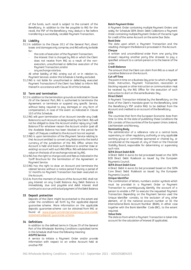of the funds, such recall is subject to the consent of the Beneficiary. In addition to the fee payable to ING for the recall, the PSP of the Beneficiary may deduct a fee before transferring a successfully recalled Payment Transaction.

#### **31 Liability**

- 31.1 In addition to the Clause [20.1](#page-7-3) of the General Part, direct losses and damages only comprise, and ING will only be liable for:
	- the costs of execution of the Payment Transaction;
	- the interest that is charged by ING or which the Client does not receive from ING as a result of the nonexecution, unauthorised or defective execution of the Payment Transaction; and/or
	- any exchange rate loss.

All other liability of ING arising out of, or in relation to, Payment Services and/or this Schedule is hereby excluded.

31.2 ING is not liable for unauthorised or defectively executed Payment Transactions if the Client has failed to inform ING thereof in accordance with Claus[e 30](#page-16-0) of this Schedule.

# <span id="page-17-0"></span>**32 Term and termination**

- 32.1 In addition to the termination grounds as indicated in Clause [26](#page-8-0) of the General Part, ING is authorised to terminate the Agreement or terminate or suspend any specific Service, without being required to pay damages or any form of compensation, in case of the event as indicated in Clause [10.5](#page-13-6) of this Schedule.
- 32.2 ING will upon termination of an Account transfer any Credit Balance to such Account as designated by the Client. ING will not be obliged to close the Account and/or repay any Credit Balance if for whatever reason the Account and/or (part of) the Available Balance has been blocked or the period for reject of Cheques credited to the Account has not expired.
- 32.3 ING is upon termination of the (Payment Service relating to the) Account entitled to convert any Balance into the lawful currency of the jurisdiction of the ING Office where the Account is held and book such Balance to another (new or existing) account with such ING Office. ING will determine the value on the basis of an exchange rate set by ING.
- 32.4 ING has the right to charge costs and fees as indicated in the Tariff Brochure for the termination of the Agreement or Paument Service.
- 32.5 ING has the right to close an Account and terminate the related Service without a notice period if during a period of 12 months no Payment Transaction has been executed on the Account.
- 32.6 As from the moment of closure of the Account ING shall not pay interest on any Credit Balance. Any Debit Balance is immediately due and payable and debit interest shall continue to accrue until actual payment of the Debit Balance.

# **33 Deposit protection**

Deposits of the Client might be protected to the extent and under the conditions set forth by the applicable deposit guarantee scheme. More information on the applicable deposits guarantee scheme can be obtained from ING or found at www.ingwb.com/en/service/privacy-and-cookiestatements/deposit-guarantee-scheme.

# **34 Definitions**

In addition to the defined terms in Claus[e 29](#page-8-1) of the General Part of the Wholesale Banking Conditions capitalised terms in this Schedule shall have the following meaning: **AIS/PIS Service**

A service to initiate a Payment Order and/or provide information with respect to an online Account held at another PSP.

# **Batch Payment Order**

A Payment Order containing multiple Payment Orders and solely for Schedule SEPA Direct Debit Collections a Payment Order containing multiple Payment Orders of the same type for credit of the same Account on the same Due Date.

# **Book Date**

The date upon which a Payment Transaction and the resulting change in the Balance is processed in the Account. **Cheque** 

A written and unconditional order from one party (the drawer) requiring another party (the drawee) to pay a specified amount to a certain person or to the bearer of the order.

# **Credit Balance**

The amount that the Client can claim from ING as a result of a positive Balance on the Account.

# **Cut-off Time**

The point in time on a Business Day prior to which a Payment Order, Instruction, Payment Transaction, revocation or blocking request or other instruction or communication must be received by the ING Office for the execution of such instruction to start on the same Business Day.

# **Direct Debit**

A Payment Transaction initiated by the Beneficiary on the basis of the Client's mandate given to the Beneficiary (and the Beneficiary's PSP and/or ING) to be debited from the Account and credited to an account of the Beneficiary.

# **EEA**

The countries that form the European Economic Area from time to time. At the date of publishing these Conditions the EEA consists of the countries of the European Union, Iceland, Liechtenstein and Norway.

#### **Nominating Body**

The administrator of a reference rate or a central bank, supervisory or other regulatory authority or any applicable working group or committee sponsored or chaired by, or constituted at the request of, any of them or the Financial Stability Board, responsible for determining or supervising such rate.

# **SEPA Direct Debit B2B**

A Direct Debit in euros (to be) processed based on the SEPA B2B Direct Debit Rulebook as issued by the European Pauments Council

# **SEPA Direct Debit Core**

A Direct Debit in euros (to be) processed based on the SEPA Core Direct Debit Rulebook as issued by the European Pauments Council.

# **Unique Identifier**

The combination of letters, numbers and/or symbols which must be provided in a Payment Order or Payment Transaction to unambiguously identify the account of a person to enable a PSP to execute the requested Payment Transaction. Depending on the Payment Service used the Unique Identifier consists, to the exclusion of any other element, of (i) the national account number or (ii) the International Bank Account Number (IBAN), in either case together with the Bank Identifier Code (BIC), to the extent required.

# **Value Date**

The date as from which a Payment Transaction is taken into account for the calculation of interest (if applicable).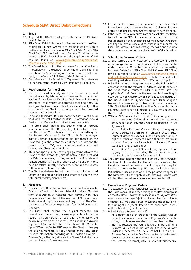# **Schedule SEPA Direct Debit Collections**

# **1. Scope**

- 1.1. If agreed, the ING Office will provide the Service "SEPA Direct Debit Collections".
- 1.2. SEPA Direct Debit Collections is a Service by which the Client can initiate Payment Orders to collect funds with its Debtors on the basis of a Mandate for a SEPA Direct Debit Core or SEPA Direct Debit B2B provided by such Debtors. More information regarding SEPA Direct Debits and the requirements of ING can be found on www.ingwb.com/en/payments-andcollections/sepa-direct-debit.
- 1.3. This Schedule is part of the Wholesale Banking Conditions. The conditions in the General Part of the Wholesale Banking Conditions, the Schedule Paument Services and this Schedule apply to the Service "SEPA Direct Debit Collections".
- 1.4. Any reference in this Schedule to "Agreement" is a reference to the Agreement regarding SEPA Direct Debit Collections.

# **2. Requirements for the Client**

- 2.1. The Client shall comply with the requirements and procedures set by ING and with the rules of the most recent version of the relevant SEPA Direct Debit Rulebook. ING may amend its requirements and procedures at any time. ING shall give the Client prior notice thereof and specify within what period the Client must comply with the amended requirements or procedures.
- 2.2. To be able to initiate SDD collections, the Client must have a valid and correct Creditor Identifier. Information how a Creditor Identifier can be obtained is available at ING.
- 2.3. The Client shall provide the Debtor with all relevant information about the SDD, including its Creditor Identifier and the unique Mandate reference, before submitting the first Payment Order relating to a Mandate. Furthermore, at least 14 calendar days prior to the Due Date of each SDD the Client shall give the Debtor notice of that Due Date and the amount of such SDD, unless another timeline is agreed between the Client and the Debtor.
- 2.4. ING is not a party to the underlying agreement between the Client and the Debtor. Any dispute between the Client and the Debtor concerning that agreement, the Mandate and related payments, including any Refusal, Refund or Reject must be settled directly between the Client and the Debtor, without any involvement of ING.
- 2.5. The Client undertakes to limit the number of Refunds and Returns on an annual basis to a maximum of 2% each of the total number of Payment Orders.

# **3. Mandates**

- 3.1. To initiate an SDD collection from the account of a specific Debtor, the Client must have a valid and duly signed Mandate from that Debtor. A Mandate must comply with ING's requirements, the rules of the relevant SEPA Direct Debit Rulebook and applicable laws and regulations. The Client shall be liable for the consequences of an invalid or incorrect Mandate.
- <span id="page-18-0"></span>3.2. The Client shall archive the original Mandate, any amendment thereto and, where applicable, information regarding its cancellation or expiry for the longer of the minimum retention period as required by applicable law and a period of 14 months after cancellation of the Mandate. Upon ING's or the Debtor PSP's request, the Client shall supply the original Mandate, a copy thereof and/or any other relevant information regarding an SDD collection within 7 Business Days. The obligations of this Claus[e 3.2](#page-18-0) shall survive any termination of the Agreement.
- 3.3. If the Debtor revokes the Mandate, the Client shall immediately cease to submit Payment Orders and revoke any outstanding Payment Orders relating to such Mandate.
- 3.4. If the Client receives a request from or on behalf of the Debtor to debit future SDDs from another account held in the Debtor's name, it shall exclusively submit Payment Orders for debiting the Debtor's account specified in such request. The Client shall archive such request together with and as part of the Mandate in accordance with Claus[e 3.2](#page-18-0) of this Schedule.

#### **4. Submitting Payment Orders**

- <span id="page-18-1"></span>4.1. An SDD can be a one-off collection or a collection in a series of recurring collections from the account of the same Debtor under the same Mandate. The timelines for submitting Payment Orders for a SEPA Direct Debit Core or SEPA Direct Debit B2B can be found on www.ingwb.com/en/paymentsand-collections/sepa-direct-debit. For Batch Payment Orders deviating periods and specific Cut-off Times may apply.
- <span id="page-18-3"></span>4.2. ING will forward the Payment Order to the Debtor PSP in accordance with the relevant SEPA Direct Debit Rulebook. In the event that a Payment Order is received after the applicable Cut-off Time on the relevant Business Day in accordance with Claus[e 4.1](#page-18-1) of this Schedule, ING may adjust the Due Date of such Payment Order in order to bring it in line with the timelines applicable to SDD under the relevant SEPA Direct Debit Rulebook. If the Due Date specified in the Payment Order is not a Business Day, ING may reschedule the Due Date to the next Business Day.
- <span id="page-18-2"></span>4.3. Without ING's prior written consent, the Client may not:
	- submit Payment Orders that exceed the maximum amount for each Payment Order as specified in the Agreement;
	- submit Batch Payment Orders with (i) an aggregate amount exceeding the maximum amount for each Batch Paument Order as specified in the Agreement, or (ii) a higher number of Payment Orders than the maximum number of instructions for each Batch Payment Order as specified in the Agreement; or
	- submit (Batch) Payment Orders during a period with an aggregate amount exceeding the maximum amount specified in the Agreement for that period.
- 4.4. The Client shall supply with each Payment Order its Creditor Identifier, its Unique Identifier, the Debtor's Unique Identifier, Mandate related information and any other required information as specified by ING, and shall submit such Instruction in accordance with (i) the parameters agreed in the Agreement, (ii) the applicable format requirements and (iii) the other procedures and requirements set by ING.

# **5. Execution of Payment Orders**

- <span id="page-18-4"></span>5.1. The execution of a Payment Order results in the crediting of the Client's Account and the debiting of the Debtor's account on the Due Date. However, the execution of a Payment Order may be prevented by a Reject or a Refusal. For the avoidance of doubt, ING may also refuse or suspend the execution or forwarding of a Payment Order in accordance with Claus[e 7](#page-12-1) of the Schedule Payment Services.
- <span id="page-18-5"></span>5.2. ING will Reject a Payment Order if:
	- no amount has been credited to the Client's Account under the Mandate to which such Payment Order relates during a continuous period of 36 consecutive months;
	- ING has received the Payment Order more than (i) 5 Business Days after the Due Date specified in the Payment Order if it concerns a SEPA Direct Debit Core or (ii) 2 Business Days after the Due Date specified in the Payment Order if it concerns a SEPA Direct Debit B2B;
	- the Client fails to comply with Claus[e 4.3](#page-18-2) of this Schedule;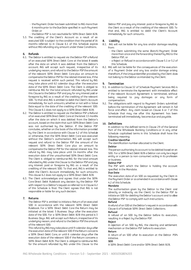- the Payment Order has been submitted to ING more than 6 months prior to the Due Date specified in such Payment Order; or
- the Debtor PSP is not reachable for SEPA Direct Debit B2B.
- 5.3. The crediting of the Client's Account as a result of an executed SDD is subject to the condition that the period of 14 months referred to in Clause [6.1](#page-19-0) of this Schedule expires without ING refunding any amount under these Conditions.

# <span id="page-19-2"></span>**6. Refunds**

- <span id="page-19-0"></span>6.1. The Debtor is entitled to request via the Debtor PSP a Refund of an executed SEPA Direct Debit Core at the latest 8 weeks after the date on which it was debited from the Debtor's account. ING will accept such request, irrespective of its underlying reason, and refund to the Debtor PSP the amount of the relevant SEPA Direct Debit Core plus an amount to compensate the Debtor PSP for the related interest loss, if the request is received within such period. This refund by ING may take place until 62 calendar days after the execution date of the SEPA Direct Debit Core. The Client is obliged to reimburse ING for the total amount refunded by ING under this Clause to the Debtor PSP and pay for any interest paid or foregone by ING as a result of the crediting of the relevant SDD. To that end, ING is entitled to debit the Client's Account immediately for such amounts, whether or not with a Value Date equal to the date of the crediting of the relevant SDD. This Claus[e 6.1](#page-19-0) does not apply to a SEPA Direct Debit B2B.
- <span id="page-19-1"></span>6.2. The Debtor is entitled to request via the Debtor PSP a Refund of an executed SEPA Direct Debit Core at the latest 13 months after the date on which it was debited from the Debtor's account, based on the claim that such SEPA Direct Debit Core was not authorised by the Debtor. If the Debtor PSP concludes, whether on the basis of the information provided by the Client in accordance with Claus[e 4.2](#page-18-3) of this Schedule or otherwise, that the SEPA Direct Debit Core was executed without the Debtor's authorisation, ING will accept such request and refund to the Debtor PSP the amount of the relevant SEPA Direct Debit Core plus an amount to compensate the Debtor PSP for the related interest loss. This refund by ING may take place until 14 months after the execution date of the unauthorised SEPA Direct Debit Core. The Client is obliged to reimburse ING for the total amount refunded by ING under this Clause to the Debtor PSP and pay any interest paid or foregone by ING as a result of the crediting of the relevant SDD. To that end, ING is entitled to debit the Client's Account immediately for such amounts. This claus[e 6.2](#page-19-1) does not apply to a SEPA Direct Debit B2B.
- 6.3. The Client acknowledges and agrees that under the SEPA Core Direct Debit Rulebook any decision by the Debtor PSP with respect to a Debtor's request as referred to in Clause [6.2](#page-19-1) of this Schedule is final. The Client agrees that ING is not responsible or liable for any such decision.

# <span id="page-19-3"></span>**7. Returns**

The Debtor PSP is entitled to initiate a Return of an executed SDD in accordance with the relevant SEPA Direct Debit Rulebook. For a SEPA Direct Debit Core the Return may be initiated at the latest 5 Business Days after the execution date of the SDD. For a SEPA Direct Debit B2B this period is 3 Business Days. ING will accept such Return, irrespective of its underlying reason, and refund to the Debtor PSP the amount of the relevant SDD.

This refund by ING may take place until 9 calendar days after the execution date of the relevant SDD if the Return concerns a SEPA Direct Debit Core, or until 6 calendar days after the execution date of the relevant SDD if the Return concerns a SEPA Direct Debit B2B. The Client is obliged to reimburse ING for the amount refunded by ING under this Clause to the

Debtor PSP and pay any interest paid or foregone by ING to the Client as a result of the crediting of the relevant SDD. To that end, ING is entitled to debit the Client's Account immediately for such amounts.

# **8. Liability**

- 8.1. ING will not be liable for any loss and/or damage resulting from:
	- the Client submitting the same (Batch) Payment Order more than once and the forwarding thereof by ING to the Debtor PSP; or
	- a Reject or Refusal in accordance with Claus[e 5.1](#page-18-4) o[r 5.2](#page-18-5) of this Schedule.
- 8.2. ING will not be liable for the consequences of the execution of a Payment Order and any loss and/or damage arising therefrom, if the Unique Identifier provided by the Client does not belong to the Debtor as intended by the Client.

#### **9. Termination**

- 9.1. In addition to Claus[e 32](#page-17-0) of Schedule Paument Services ING is entitled to terminate the Agreement with immediate effect if the relevant Account Agreement is terminated, without being required to pay damages or any form of compensation.
- 9.2. The obligations with regard to Payment Orders submitted before the termination of the Agreement will remain in full force and effect. Any claim based on Clause [6](#page-19-2) or [7](#page-19-3) of this Schedule that may rise after this Agreement has been terminated will immediately become due and payable.

#### **10. Definitions**

In addition to the defined terms in Claus[e 29](#page-8-1) of the General Part of the Wholesale Banking Conditions or in any other Schedule capitalised terms in this Schedule shall have the following meaning:

#### **Creditor Identifier**

The identification number allocated to the Client.

#### **Debtor**

The person authorising its account to be debited based on an SDD. For a SEPA Direct Debit B2B a Debtor can only be a legal entity or a person (a non-consumer) acting in its profession or business.

#### **Debtor PSP**

The PSP with which the Debtor is holding the account specified in the Mandate.

#### **Due Date**

The execution date of an SDD as requested by the Client in the Payment Order or as amended in accordance with Clause [4.2](#page-18-3) of this Schedule.

#### **Mandate**

The authorisation given by the Debtor to the Client and (directly or indirectly via the Client) to the Debtor PSP to initiate an SDD for debiting the Debtor's account and to allow the Debtor PSP to comply with such instructions.

# **Refund**

A refund of an SDD at the Debtor's request in accordance with Claus[e 6](#page-19-2) of Schedule SEPA Direct Debit Collections.

# **Refusal**

A refusal of an SDD by the Debtor before its execution, resulting in a Reject by the Debtor PSP.

# **Reject**

A rejection of an SDD by ING, the clearing and settlement mechanism or the Debtor PSP before its execution.

# **Return**

A return of an SDD after its execution at the Debtor PSPs initiative.

# **SDD**

A SEPA Direct Debit Core and/or SEPA Direct Debit B2B.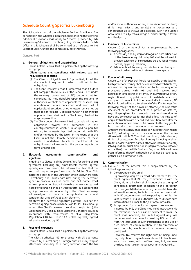# **Schedule Country Specifics Luxembourg**

This Schedule is part of the Wholesale Banking Conditions. The conditions in the Wholesale Banking Conditions and the following additional provisions shall apply to Services provided by ING Luxembourg SA in/from Luxembourg. Any reference to ING or ING Office in this Schedule shall be construed as a reference to ING Luxembourg SA, unless the context requires otherwise.

**General Part**

#### **1. General obligations and undertakings**

Claus[e 3](#page-2-0) of the General Part is supplemented by the following paragraphs:

#### **Client status and compliance with related tax and regulatory obligations**

- (i) The Client is obliged to ask ING proactively for all the documents it requires in order to fulfil all its tax obligations.
- (ii) The Client represents that it is informed that if it does not comply with claus[e 3.5](#page-2-1) of the General Part (under the sovereign assessment of ING) and/or is not tax compliant, ING may rightfully report the relations to authorities, withhold such applicable tax, suspend any operation or Service concerned and even sell, if applicable, all securities or other assets concerned by these tax or regulatory obligations, with no other notice or prior notice and without the Client being able to claim any compensation.
- (iii) The Client undertakes vis-à-vis ING to comply with its tax obligations towards the authorities in the country/countries in which it is obliged to pay tax relating to the assets deposited and/or held with ING and/or managed by the latter. In the event that the Client is not the ultimate beneficial owner of these assets, it undertakes to inform the latter of this obligation and will ensure that this person respects the same undertaking.

# **2. Electronic agreements, communication and signature**

In addition to Clause [4](#page-2-2) of the General Part, for signing of any Agreement (including any amendments thereto) agreed upon by electronic means, ING informs the Client that the electronic signature platform used is Adobe Sign. This platform is hosted in the European Union (elsewhere than Luxembourg) and Client's data used during the electronic signature process, such as name and first name, email address, phone number, will therefore be transferred and stored for a certain period on this platform. By accepting the signing process via Adobe Sign, the Client expressly acknowledges and accepts the applicable terms and conditions for usage of Adobe Sign platform.

Whatever the electronic signature platform used for the electronic signing process (Adobe Sign for ING Luxembourg or any other Client's own electronic signature platform), the Client may only use a qualified Electronic Signature (issued in accordance with requirements of eIDAS Regulation (Regulation (EU) No 910/2014)), unless expressly agreed otherwise in writing by ING.

# **3. Fees and expenses**

Claus[e 9](#page-4-2) of the General Part is supplemented by the following paragraph:

The Client authorises ING to proceed with all payments required by Luxembourg or foreign authorities by way of attachment (including third-party summons from the tax

and/or social authorities) or any other document producing similar legal effects and to debit its Account(s) as a consequence up to the Available Balance, even if the Client's Account(s) are subject to a pledge or similar surety in favour of a third party.

# **4. Evidence of Instructions**

Clause [10](#page-4-1) of the General Part is supplemented by the following paragraphs:

- (i) If necessary and by way or derogation from article 1341 of the Luxembourg civil code, ING shall be allowed to provide evidence of Instructions by any legal means, notably by giving testimony.
- (ii) ING is entitled to carry out electronic archiving and cannot be blamed for not retaining the originals.

# **5. Power of attorney**

Clause [11.4](#page-4-3) of the General Part is replaced by the following: Each power of attorney shall be considered as valid until they are revoked by written notification to ING or any other procedure agreed with ING. Until ING receives such notification any power of attorney shall, irrespective of any registration with any public record of the details and/or any changes to it, remain in full force and effect. However, ING shall only be held liable after the end of the fifth Business Day following receipt of the power of attorney, the revocation document or an amendment of a power of attorney regarding any User. Such revocation or amendment does not have any consequences for nor shall affect (the validity of) any (i) Instruction with a scheduled execution date after the revocation or amendment, or (ii) power of attorney granted by a User prior to such revocation or amendment.

Any power of attorney shall cease to have effect with regard to ING, following the occurrence of one of the causes stipulated in article 2003 of the Luxembourg civil code or any similar circumstances for a legal entity (including, without limitation, death, unless agreed otherwise, interdiction, entry into liquidation, dissolution, bankruptcy of the Accountholder or the User), on the fifth Business Day after ING shall have been informed thereof, although it shall not be required to gather such information itself.

# **6. Communication**

- <span id="page-20-0"></span>6.1. Clause [12](#page-5-3) of the General Part is supplemented by the following paragraphs:
	- (i) Correspondence by email By providing (any of) its email address(es) to ING, the Client agrees that ING may communicate with the Client, via email which shall include the exchange of confidential information according to this paragraph and paragraph (ii) below including personal data and/or information relating to its Accounts, other assets held with ING and/or or transaction reporting. If the Client has joint Account(s) it also authorises ING to disclose such information via e-mail to the joint Accountholder.
	- (ii) Acceptance of communication by electronic means If agreed by ING, the Client may send Instructions via fax, telephone, telex or as an attachment to email. The Client shall indemnify ING in full against any loss, damages, cost or expense incurred by ING and arising from the execution of such Instructions or the use of such means of communication. The transmission of Instructions by simple email is however expressly prohibited.

However, ING reserves the right, without being under any obligation, to agree to execute such Instructions in exceptional cases, with the Client being fully aware of the risks, in particular those set out in this Claus[e 6.1.](#page-20-0)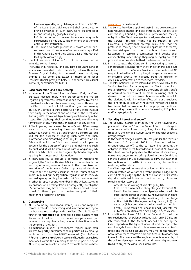If necessary and by way of derogation from article 1341 of the Luxembourg civil code, ING shall be allowed to provide evidence of such Instructions by any legal means, notably by giving testimony.

ING is authorised to refuse to execute any such Instructions if it has any suspicion of any unauthorised or fraudulent Instruction

- (iii) The Client acknowledges that it is aware of the nonsecure nature of the means of communication specified in this Clause [6.1](#page-20-0) and that Clause [12.2](#page-5-4) of the General Part applies accordingly.
- 6.2. The last sentence of Clause [12.3](#page-5-5) of the General Part is amended so that it reads:

The Client shall notify ING and any joint accountholder(s) in advance of amended contact details by not less than five Business Days (including, for the avoidance of doubt, any change of its email address(es) or those of its legal representative(s), proxy(ies) holder(s) and service provider(s) previously communicated to ING).

# **7. Data protection and bank secrecy**

- 7.1. In deviation from Clause [14](#page-5-2) of the General Part, the Client expressly accepts that, when transmitting information regarding Agreements, Instructions and Services, ING will be considered in all circumstances as having been authorized by the Client to transmit said information to, as the case may be, ING, ING Offices, a third party PSP or any other involved third party, in the name of and on behalf of the Client and discharges ING from its duty of banking confidentiality in that scope. This discharge shall continue notwithstanding any termination of any Agreement or cessation of any Service.
- 7.2. A Client opening one or several Account(s) with ING expressly accepts that the opening form and the information contained herein (i) will be transferred to a central storage unit for the purpose of storing such form and such information and dispatching it to any ING affiliate or ING Office with which the Client has opened or will open an account for the purpose of opening and maintaining such Account; and (ii) will be stored for at least so long as any ING affiliate or ING Office is under a legal obligation to keep such opening form and/or such information.
- 7.3. In instructing ING to execute a domestic or international payment, the Client authorises ING, its correspondent banks and any other organisation involved in the transmission or execution of the Payment Order to process all the data required for the correct execution of the Payment Order and/or required by the legislation/regulations in force. Such processing may, notably, be carried out from centres located in other European countries and/or in the United States in accordance with local legislation. Consequently, notably the US authorities may have access to data processed and/or stored in these operational centres as part of their monitoring of terrorist activities.

# **8. Outsourcing**

- 8.1. ING is bound by professional secrecy rules and may not communicate data concerning, and information relating to the business relationships with the Client (for this Clause 7 further "**Information"**) to any third-party, except when disclosure of the Information is made in compliance with, or required under, applicable law, or upon instruction or with the consent of the Client.
- 8.2. In addition to Claus[e 23.1](#page-7-0) of the General Part, ING is expressly allowed to (partly) outsource to third parties in Luxembourg or abroad or to any other ING Offices globally (for this Clause 7 further "**Service Providers"**), certain of its activities, such as mentioned within the summary table "Third parties and/or ING Group common infrastructure" available on the website

[www.ing.lu](http://www.ing.lu/) or on demand.

- 8.3. The Service Providers appointed by ING may be regulated or non-regulated entities and are either by law subject to or contractually bound by ING to a (professional) secrecy obligation. The Client hereby acknowledges and accepts that the Service Providers might not be subject to the Luxembourg professional secrecy rules and that the professional secrecy that would be applicable to them may be less stringent than the Luxembourg bank secrecy legislation. In certain circumstances and despite their confidentiality undertakings, they may be legally bound to provide the Information to third-parties or authorities.
- 8.4. In that context, the Client confirms accepting to bear all consequences resulting from the transfer and/or disclosure of Information to the Service Providers and accepts that ING may not be held liable for any loss, damages or costs caused or incurred directly or indirectly from the transfer or disclosure of Information to the Service Providers.
- 8.5. The Information will be transferred and/or be available to the Service Providers for as long as the Client maintains a relationship with ING. A refusal by the Client of such transfer of Information, which must be made in writing, shall be deemed to constitute a termination notice with respect to the relationship with immediate effect without prejudice to the right for ING to keep with the Service Provider the data so transferred before revocation for the purposes mentioned above during the retention periods imposed by ING policies and/or by applicable laws.

#### **9. Security Interest and set-off**

9.1. The Security Interest granted by the Client towards ING pursuant to Clause [19](#page-6-2) of the General Part is a pledge in accordance with Luxembourg law, including, without limitation, the law of 5 August 2005 on financial collateral arrangements.

In the case of pledged assets, ING may, under the terms of the law of 5 August 2005 on financial collateral arrangements set-off, to the corresponding amount, the obligations of the Client towards it and those of ING towards the Client, without prejudice to the account indivisibility agreement and/or setting off stipulated in these Conditions. For this purpose, ING is authorised to carry out exchange transactions or to settle in advance any transactions maturing in the future.

The Client expressly agrees that as long as ING accepts an express written waiver of the present general pledge in the context of the pledge by the Client of all or part of its assets deposited with ING in favour of a third party, this waiver remains under reserve of:

- Acceptance in writing of said pledge by ING;
- Creation of a new first ranking pledge in favour of ING identical to the present general pledge, which shall take effect at the earlier of the following two dates: the date on which the third party beneficiary of the pledge notifies ING that the agreement governing it (i) has ended or (ii) has been discharged. As need be, the Client hereby irrevocably and unconditionally accepts the automatic creation of this new pledge in such a case.
- 9.2. In addition to clause [19.5](#page-6-3) of the General Part, all the transactions that the Client carries out with an ING Office are interconnected. All the Accounts opened and held by the Client regardless the type of account and the applicable conditions, shall constitute in a legal sense sub-accounts of a single and indivisible account. ING may merge the relevant Accounts or effect transfers from one Account to another as it sees fit. The balance of the single Account is secured by all the collateral pledged as security and personal guarantees linked to any of the various sub-accounts.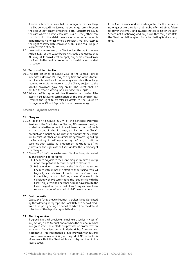If some sub-accounts are held in foreign currencies, they shall be converted into Euro at the exchange rate in force on the account settlement or transfer date. Furthermore ING, in the case where an asset expressed in a currency other than that in which the debit balance of another Account is denominated no longer offers a sufficient margin, reserves the right of immediate conversion. ING alone shall judge if such cover is sufficient.

9.3. Unless otherwise agreed, the Client waives the right to invoke Article 1253 of the Luxembourg civil code and agrees that ING may, at its own discretion, apply any sums received from the Client to the debt or proportion of the debt it is intended to reduce.

#### 10. **Term and termination**

- 10.1.The last sentence of Clause [26.1](#page-8-2) of the General Part is amended as follows: ING may at any time and without notice terminate its relationship and/or any Accounts without being required to justify its reasons to the Client, subject to the specific provisions governing credit. The Client shall be notified thereof in writing (postal or electronic) by ING.
- 10.2.Where the Client gives no instruction as to the transfer of the assets held following termination of the relationship, ING reserves the right to transfer its assets to the *Caisse de Consignation* (Official Deposit holder) in Luxembourg.

**Schedule Payment Services**

#### **11. Cheques**

- 11.1.In addition to Clause [23.3\(v\)](#page-15-1) of the Schedule Payment Services, if the Client stops a Cheque, ING reserves the right to decide whether or not it shall take account of such instruction and, in the first case, to block, on the Client's Account, an amount equivalent to the amount of the Cheque until receipt of either of an amicable agreement signed by the Beneficiary of the Cheque and by the Client, or until the case has been settled by a judgement having force of *res judicata* on the rights of the Client and/or the Beneficiary of the Cheque.
- 11.2.Claus[e 23](#page-15-2) of the Schedule Payment Services is supplemented by the following paragraphs:
	- (i) Cheques payable to the Client may be credited directly upon receipt to the Account subject to clearance.
	- (ii) ING is entitled to terminate the Client's right to use Cheques with immediate effect without being required to justify such decision. In such case, the Client must immediately return to ING any unused Cheques. If this coincides with ING terminating the relationship with the Client, any Credit Balance shall be made available to the Client only after the unused blank Cheques have been returned and/or after a period of 60 calendar days.

#### **12. Cash deposits**

Claus[e 24](#page-15-3) of the Schedule Payment Services is supplemented by the following paragraph: The Book Date of a deposit made via a third party acting on behalf of ING will be the date of collection of the deposits by such third party.

#### **13. Alerting service**

If agreed ING shall provide an email alert Service in case of any activity on its Account and/or when the Balance reaches an agreed limit. These alerts are provided on an information basis only. The Client can only derive rights from account statements. This information is also provided without any commitment or responsibility on the part of ING on the basis of elements that the Client will have configured itself in the secure space.

If the Client's email address so designated for this Service is no longer active, the Client shall not be informed of the failure to deliver the email, and ING shall not be liable for the alert Service not functioning and any harm that may arise. Both the Client and ING may terminate the alerting Service at any time.